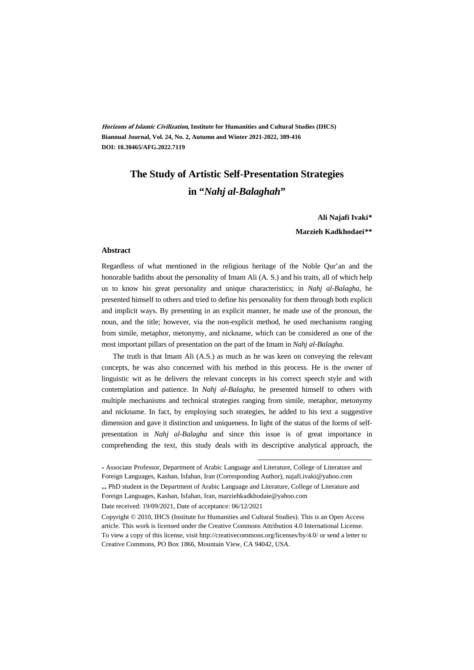**Horizons of Islamic Civilization, Institute for Humanities and Cultural Studies (IHCS) Biannual Journal, Vol. 24, No. 2, Autumn and Winter 2021-2022, 389-416 DOI: 10.30465/AFG.2022.7119**

#### **The Study of Artistic Self-Presentation Strategies**

#### **in "***Nahj al-Balaghah***"**

#### **Ali Najafi Ivaki\*\***

#### **Marzieh Kadkhodaei\*\*†**

#### **Abstract**

Regardless of what mentioned in the religious heritage of the Noble Qur'an and the honorable hadiths about the personality of Imam Ali (A. S.) and his traits, all of which help us to know his great personality and unique characteristics; in *Nahj al-Balagha*, he presented himself to others and tried to define his personality for them through both explicit and implicit ways. By presenting in an explicit manner, he made use of the pronoun, the noun, and the title; however, via the non-explicit method, he used mechanisms ranging from simile, metaphor, metonymy, and nickname, which can be considered as one of the most important pillars of presentation on the part of the Imam in *Nahj al-Balagha*.

The truth is that Imam Ali (A.S.) as much as he was keen on conveying the relevant concepts, he was also concerned with his method in this process. He is the owner of linguistic wit as he delivers the relevant concepts in his correct speech style and with contemplation and patience. In *Nahj al-Balagha*, he presented himself to others with multiple mechanisms and technical strategies ranging from simile, metaphor, metonymy and nickname. In fact, by employing such strategies, he added to his text a suggestive dimension and gave it distinction and uniqueness. In light of the status of the forms of selfpresentation in *Nahj al-Balagha* and since this issue is of great importance in comprehending the text, this study deals with its descriptive analytical approach, the

.

Foreign Languages, Kashan, Isfahan, Iran, marziehkadkhodaie@yahoo.com

<sup>\*</sup> Associate Professor, Department of Arabic Language and Literature, College of Literature and Foreign Languages, Kashan, Isfahan, Iran (Corresponding Author), najafi.ivaki@yahoo.com PhD student in the Department of Arabic Language and Literature, College of Literature and

Date received: 19/09/2021, Date of acceptance: 06/12/2021

Copyright © 2010, IHCS (Institute for Humanities and Cultural Studies). This is an Open Access article. This work is licensed under the Creative Commons Attribution 4.0 International License. To view a copy of this license, visit http://creativecommons.org/licenses/by/4.0/ or send a letter to Creative Commons, PO Box 1866, Mountain View, CA 94042, USA.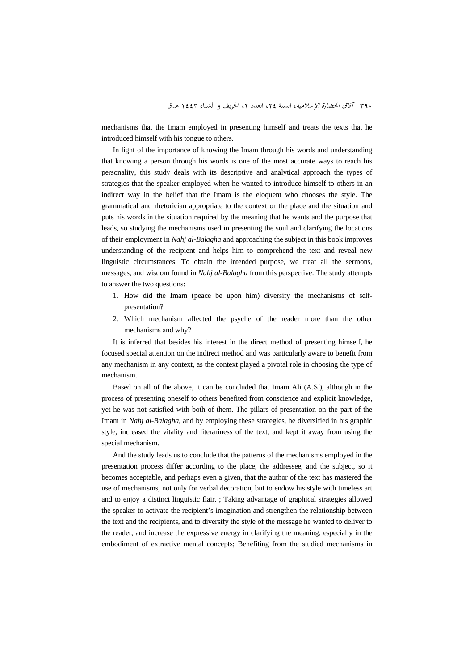mechanisms that the Imam employed in presenting himself and treats the texts that he introduced himself with his tongue to others.

In light of the importance of knowing the Imam through his words and understanding that knowing a person through his words is one of the most accurate ways to reach his personality, this study deals with its descriptive and analytical approach the types of strategies that the speaker employed when he wanted to introduce himself to others in an indirect way in the belief that the Imam is the eloquent who chooses the style. The grammatical and rhetorician appropriate to the context or the place and the situation and puts his words in the situation required by the meaning that he wants and the purpose that leads, so studying the mechanisms used in presenting the soul and clarifying the locations of their employment in *Nahj al-Balagha* and approaching the subject in this book improves understanding of the recipient and helps him to comprehend the text and reveal new linguistic circumstances. To obtain the intended purpose, we treat all the sermons, messages, and wisdom found in *Nahj al-Balagha* from this perspective. The study attempts to answer the two questions:

- 1. How did the Imam (peace be upon him) diversify the mechanisms of selfpresentation?
- 2. Which mechanism affected the psyche of the reader more than the other mechanisms and why?

It is inferred that besides his interest in the direct method of presenting himself, he focused special attention on the indirect method and was particularly aware to benefit from any mechanism in any context, as the context played a pivotal role in choosing the type of mechanism.

Based on all of the above, it can be concluded that Imam Ali (A.S.), although in the process of presenting oneself to others benefited from conscience and explicit knowledge, yet he was not satisfied with both of them. The pillars of presentation on the part of the Imam in *Nahj al-Balagha*, and by employing these strategies, he diversified in his graphic style, increased the vitality and literariness of the text, and kept it away from using the special mechanism.

And the study leads us to conclude that the patterns of the mechanisms employed in the presentation process differ according to the place, the addressee, and the subject, so it becomes acceptable, and perhaps even a given, that the author of the text has mastered the use of mechanisms, not only for verbal decoration, but to endow his style with timeless art and to enjoy a distinct linguistic flair. ; Taking advantage of graphical strategies allowed the speaker to activate the recipient's imagination and strengthen the relationship between the text and the recipients, and to diversify the style of the message he wanted to deliver to the reader, and increase the expressive energy in clarifying the meaning, especially in the embodiment of extractive mental concepts; Benefiting from the studied mechanisms in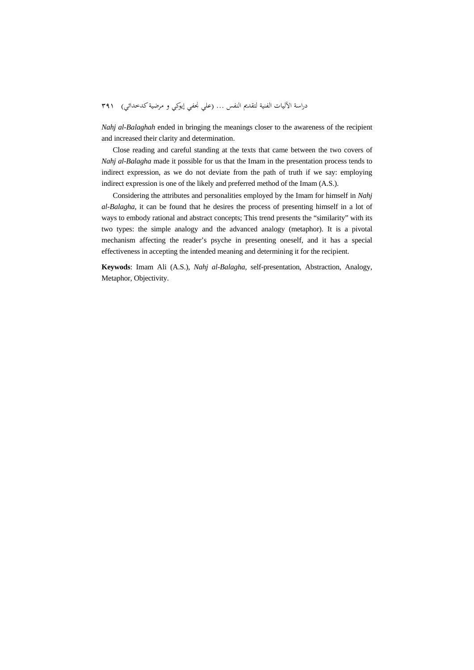*Nahj al-Balaghah* ended in bringing the meanings closer to the awareness of the recipient and increased their clarity and determination.

Close reading and careful standing at the texts that came between the two covers of *Nahj al-Balagha* made it possible for us that the Imam in the presentation process tends to indirect expression, as we do not deviate from the path of truth if we say: employing indirect expression is one of the likely and preferred method of the Imam (A.S.).

Considering the attributes and personalities employed by the Imam for himself in *Nahj al-Balagha*, it can be found that he desires the process of presenting himself in a lot of ways to embody rational and abstract concepts; This trend presents the "similarity" with its two types: the simple analogy and the advanced analogy (metaphor). It is a pivotal mechanism affecting the reader's psyche in presenting oneself, and it has a special effectiveness in accepting the intended meaning and determining it for the recipient.

**Keywods**: Imam Ali (A.S.), *Nahj al-Balagha,* self-presentation, Abstraction, Analogy, Metaphor, Objectivity.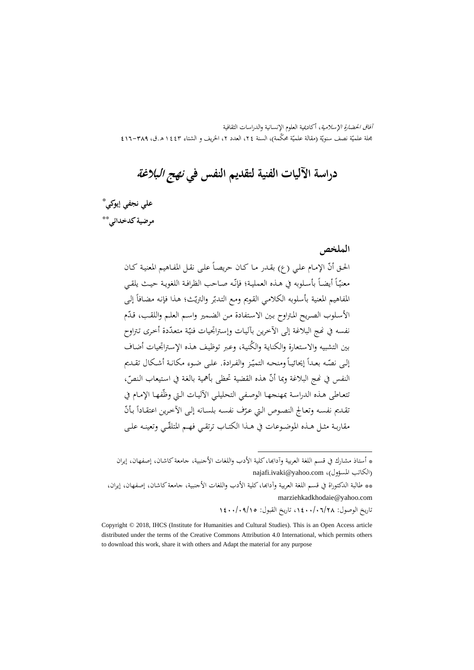آفاق الحضارة الإسلامية، أكاديمية العلوم الإنسانية والدراسات الثقافية بحلة علميّة نصف سنويّة (مقالة علميّة محكّمة)، السنة ٢٤، العدد ٢، الخريف و الشتاء ٤٤٣ هـ.ق، ٣٨٩–٤١٦ مج

**دراسة الآليات الفنية لتقديم النفس في نهج البلاغة**

‡ \* **علي نجفي إيوکي** \*\* **مرضيةکدخدائي**

**الملخص**

الحـق أنّ الإمـام علـي (ع) بقـدر مـا كـان حريصـاً علـى نقـل المفـاهيم المعنيـة كـان  $\overline{a}$ معنيّاً أيضـاً بأسـلوبه في هـذه العمليـة؛ فإنّـه صـاحب الظرافـة اللغويـة حيـث يلقـي المفاهيم المعنية بأسلوبه الكلامي القويم ومع التدبّر والتريّث؛ هذا فإنه مضافاً إلى الأسـلوب الصريح المتراوح بـين الاستفادة من الضـمير واسـم العلـم واللقـب، قـدّم نفسه في نحج البلاغة إلى الآخرين بآليات وإستراتجيات فنيّة متعدّدة أخرى تتراوح<br>. بين التشبيه والاستعارة والكنايـة والگنيـة، وعـبر توظيف هـذه الإسـتراتجيات أضـاف  $\overline{\phantom{a}}$ إلىي نصّـه بعـدأ إيحائيـأ ومنحـه التميّـز والفـرادة. علـى ضـوء مكانـة أشـكال تقـديم النفس في نمج البلاغة وبما أنّ هذه القضية تحظى بأهمية بالغة في استيعاب النصّ، تتعاطى هـذه الدراسة بمهنجهـا الوصـفي التحليلي الآليـات الـتي وظّفهـا الإمـام في نقـديم نفسـه وتعـالج النصـوص الـتي عـرّف نفسـه بلسـانه إلـى الآخرين اعتقـاداً بـأنّ مقاربـة مثـل هـذه الموضـوعات في هـذا الكتــاب ترتقــي فهــم المتلقّــي وتعينـه علـي

.

\*\* طالبة الدکتوراة في قسم اللغة العربية وآداđا،کلية الأدب واللغات الأجنبية، جامعةکاشان، إصفهان، إيران، marziehkadkhodaie@yahoo.com

تاريخ الوصول: ،1400/06/28 تاريخ القبول: 1400/09/15

<sup>\*</sup> أستاذ مشارك في قسم اللغة العربية وآداđا،کلية الأدب واللغات الأجنبية، جامعةکاشان، إصفهان، إيران najafi.ivaki@yahoo.com ،(الكاتب المسؤول)

Copyright © 2018, IHCS (Institute for Humanities and Cultural Studies). This is an Open Access article distributed under the terms of the Creative Commons Attribution 4.0 International, which permits others to download this work, share it with others and Adapt the material for any purpose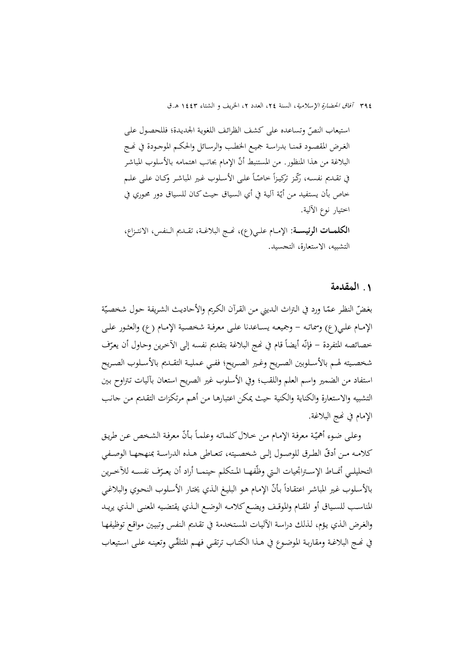٣٩٤ *آفاق الحضارة الإسلامية*، السنة ٢٤، العدد ٢، الخريف و الشتاء ١٤٤٣ هـ.ق

استيعاب النصّ وتساعده على كشف الظرائف اللغوية الجديدة؛ فللحصول على الغـرض المقصـود قمنــا بدراسـة جميـع الخطـب والرســائل والحكــم الموجــودة في نحـج البلاغة من هذا المنظور. من المستنبط أنّ الإمام بجانب اهتمامه بالأسلوب المباشر في تقـديم نفسـه، رڭـز تركيـزأ خاصّـأ علـى الأسـلوب غـير المباشـر وكـان علـى علـم حاص بأن يستفيد من أيّة آلية في أي السياق حيث كان للسياق دور محوري في<br>. اختيار نوع الآلية. **الکلمـــات الرئيســـة:** الإمــام علــي(ع)، Ĕــج البلاغــة، تقــديم الــنفس، الانتــزاع، التشبيه، الاستعارة، التجسيد.

#### **.**1 **المقدمة**

بغضّ النظر عمّا ورد في التراث الديني من القرآن الكريم والأحاديث الشريفة حول شخصيّة الإمـام علـي(ع) وسماتـه – وجميعـه يسـاعدنا علـي معرفـة شخصـية الإمـام (ع) والعثـور علـي خصائصه المتفردة – فإنّه أيضاً قام في نُحج البلاغة بتقديم نفسه إلى الأخرين وحاول أن يعرّف<br>. شخصــيته لهــم بالأســلوبين الصــريح وغــير الصــريح؛ ففــي عمليــة التقــديم بالأســلوب الصــريح استفاد من الضمير واسم العلم واللقب؛ وفي الأسلوب غير الصريح استعان بآليات تـتراوح بـين التشبيه والاستعارة والکناية والکنية حيث يمکن اعتبارهـا مـن أهـم مرتکـزات التقـديم مـن جانـب الإمام في نھج البلاغة.

وعلى ضوء أهميّة معرفة الإمـام مـن خـلال كلماتـه وعلمـاً بـأنّ معرفة الشـخص عـن طريق كلامـه مـن أدقّ الطـرق للوصـول إلـي شخصـيته، تتعـاطي هــذه الدراسـة بمنهجهـا الوصـفي التحليلـي أنمــاط الإســتراتجيات الــتي وظّفهــا المـتكلم حينمــا أراد أن يعـرّف نفســه للآخــرين<br>. بالأسلوب غير المباشر اعتقاداً بأنّ الإمام هو البليغ الذي يختار الأسلوب النحوي والبلاغي المناسـب للسـياق أو المقـام والموقـف ويضـع كلامـه الوضـع الـذي يقتضـيه المعنـى الـذي يريـد والغـرض الـذي يـؤم، لـذلك دراسـة الآليـات المسـتخدمة في تقـديم الـنفس وتبيـين مواقـع توظيفهـا في نمـج البلاغـة ومقاربـة الموضـوع في هـذا الكتــاب ترتقـي فـهـم المتلقّـي وتعينـه علـى اسـتيعاب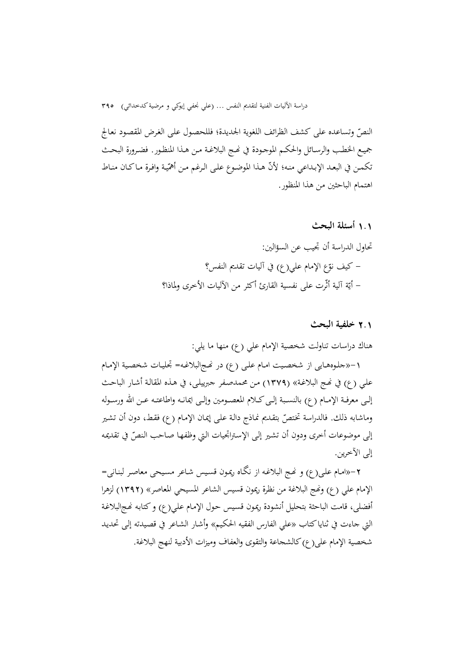النص وتساعده علی کشف الظرائف اللغوية الجديدة؛ فللحصـول علـی الغـرض المقصـود نعـالج ّ جميـع الخطب والرسـائل والحكـم الموجـودة في نحـج البلاغـة مـن هـذا المنظـور. فضـرورة البحـث نكمـن في البعـد الإبـداعي منـه؛ لأنّ هـذا الموضـوع علـى الـرغم مـن أهمّيـة وافـرة مـاكـان منـاط اهتمام الباحثين من هذا المنظور.

# 1**.**1 **أسئلة البحث**

تحاول الدراسة أن تجيب عن السؤالين: – كيف نوّع الإمام علي(ع) في آليات تقديم النفس؟ – أيّة آلية أثّرت على نفسية القارئ أكثر من الآليات الأخرى ولماذا؟

#### 2**.**1 **خلفية البحث**

هناك دراسات تناولت شخصية الإمام علي (ع) منها ما يلي:

-1«جلـوههـايی از شخصـيت امـام علـی (ع) در Ĕـجالبلاغـه= تجليـات شخصـية الإمـام علمي (ع) في نهج البلاغـة» (١٣٧٩) من محمدصـفر جبرييلـي، في هـذه المقالـة أشـار الباحـث إلــی معرفــة الإمــام (ع) بالنســبة إلــیکــلام المعصــومين وإلــی ايمانــه واطاعتــه عــن االله ورســوله وماشابه ذلك. فالدراسة تختصّ بتقديم نماذج دالة علمي إيمان الإمام (ع) فقط، دون أن تشير إلى موضوعات أخرى ودون أن تشير إلى الإستراتجيات التي وظفها صاحب النصّ في تقديمه إلی الآخرين.

-2«امـام علـی(ع) و Ĕـج البلاغـه از نگـاه ريمـون قسـيس شـاعر مسـيحی معاصـر لبنـانی= الإمام علي (ع) وĔج البلاغة من نظرة ريمون قسيس الشاعر المسيحي المعاصر» (1392) لزهرا أفضلي، قامت الباحثة بتحليل أنشودة ريمون قسيس حول الإمام على(ع) وكتابه نهجالبلاغة التي جاءت في ثناياکتاب «علي الفارس الفقيه الحکـيم» وأشـار الشـاعر في قصـيدته إلـی تحديـد شخصية الإمام علی(ع) کالشجاعة والتقوی والعفاف وميزات الأدبية لنهج البلاغة.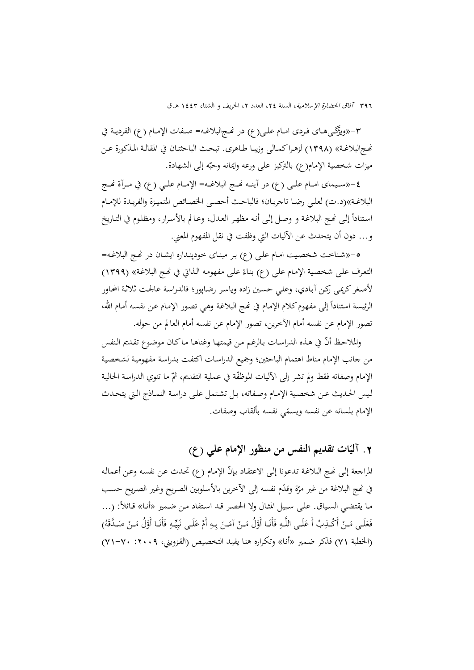٣٩٦ *آفاق الحضارة الإسلامية*، السنة ٢٤، العدد ٢، الخريف و الشتاء ١٤٤٣ هـ.ق

-3«ويژگــیهــای فــردی امــام علــی(ع) در Ĕــجالبلاغــه= صــفات الإمــام (ع) الفرديــة في Ĕـجالبلاغـة» (1398) لزهـراکمـالی وزيبـا طـاهری. تبحـث الباحثتـان في المقالـة المـذکورة عـن ميزات شخصية الإمام(ع) بالتركيز علی ورعه وايمانه وحبّه إلی الشهادة.

-4«ســـيمای امـــام علـــی (ع) در آينـــه Ĕـــج البلاغـــه= الإمـــام علـــي (ع) في مـــرآة Ĕـــج البلاغــة»(د.ت) لعلــي رضــا تاجريــان؛ فالباحــث أحصــی الخصــائص المتميــزة والفريــدة للإمــام استناداً إلى نُمج البلاغة و وصل إلى أنه مظهر العدل، وعـالم بالأسرار، ومظلوم في التـاريخ و... دون أن يتحدث عن الآليات التي وظفت في نقل المفهوم المعني.

-5«شـناخت شخصـيت امـام علـی (ع) بـر مبنـای خودپنـداره ايشـان در Ĕـج البلاغـه= التعرف على شخصية الإمام على (ع) بناءً على مفهومه الذاتي في نهج البلاغة» (١٣٩٩) لأصـغرکريمـی رکـن آبـادي، وعلـي حسـين زاده وياسـر رضـاپور؛ فالدراسـة عالجـت ثلاثـة المحـاور الرئيسة استناداً إلى مفهوم كلام الإمـام في نُحج البلاغـة وهـي تصـور الإمـام عـن نفسـه أمـام الله، تصور الإمام عن نفسه أمام الآخرين، تصور الإمام عن نفسه أمام العالم من حوله.

والملاحظ أنّ في هـذه الدراسات بالرغم من قيمتها وغناهـا مـاكـان موضوع تقـديم النفس من جانب الإمام مناط اهتمام الباحثين؛ وجميع الدراسـات اکتفـت بدراسـة مفهوميـة لشخصـية الإمام وصفاته فقط ولم تشر إلى الأليات الموظفّة في عملية التقديم، ثمّ ما تنوي الدراسة الحالية لـيس الحـديث عـن شخصـية الإمـام وصـفاته، بـل تشـتمل علـی دراسـة النمـاذج الـتي يتحـدث الإمام بلسانه عن نفسه ويسمّى نفسه بألقاب وصفات.

# **آلي تقديم النفس من منظور الإمام علي (ع) ّ .**2 **ات**

المراجعة إلى نهج البلاغة تدعونا إلى الاعتقاد بإنّ الإمام (ع) تحدث عن نفسه وعن أعماله في نُمج البلاغة من غير مرّة وقدّم نفسه إلى الآخرين بالأسلوبين الصريح وغير الصريح حسب مـا يقتضـي السـياق. علـى سـبيل المثـال ولا الحصـر قـد اسـتفاد مـن ضـمير «أنـا» قـائلاً: (… فَعَلَى مَـنْ أَكْـذِبُ أَ عَلَـى اللَّـهِ فَأَنَـا أَوَّلُ مَـنْ آمَـنَ بِـهِ أَمْ عَلَـى نَبِيِّـهِ فَأَنَـا أَوَّلُ مَـنْ صَـدَّقَهُ) َ ِ ب (الخطبة 71) فذکر ضـمير «أنـا» وتکـراره هنـا يفيـد التخصـيص (القـزويني، :2009 71-70)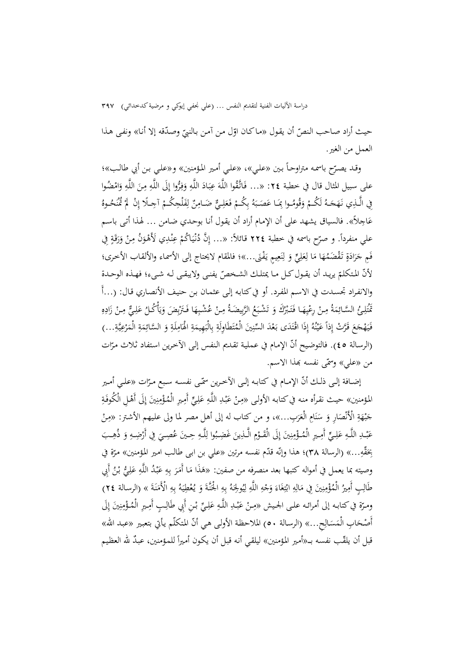حيث أراد صاحب النصّ أن يقول «ماكان اوّل من آمن بالنبيّ وصدّقه إلا أنا» ونفى هذا<br>-العمل من الغير.

وقـد يصـرّح باسمـه متراوحـاً بـين «علـي»، «علـي أمـير المؤمنين» و«علـي بـن أبي طالـب»؛<br>\* على سبيل المثال قال في خطبة ٢٤: «... فَاتَّقُوا اللَّهَ عِبَادَ اللَّهِ وَفِرُّوا إِلَى اللَّهِ مِنَ اللَّهِ وَامْضُوا<br>. ب ِ ا فِي الَّـذِي نَهَجَـهُ لَكُـمْ وَقُومُـوا بِمَـا عَصَـبَهُ بِكُـمْ فَعَلِـيٌّ ضَـامِنٌ لِفَلْحِكُـمْ آجِـلًا إِنْ لَمْ تُمْحُـوهُ  $\frac{1}{2}$  $\ddot{\cdot}$ َ ِ $\ddot{\phantom{0}}$ عَاجِلاً». فالسياق يشهد على أن الإمام أراد أن يقول أنا بوحدي ضامن ... لهذا أتى باسم علي منفرداً. و صرّح باسمه في خطبة ٢٢٤ قائلاً: «… إِنَّ دُنْيَاكُمْ عِنْدِي لَأَهْوَنُ مِنْ وَرَقَةٍ فِي ن َ َ فَمِ جَرَادَةٍ تَقْضَمُهَا مَا لِعَلِيٍّ وَ لِنَعِيمٍ يَفْنَى...»؛ فالمقام لايحتاج إلى الأسماء والألقاب الأخرى؛<br>-ن<br>ا َ ِ ن با<br>ا لأنّ المتكلمّ يريـد أن يقـول كـل مـا يمتلـك الشـخصّ يفنـى ولايبقـى لـه شـىء؛ فهـذه الوحـدة<br>\*\*\* والانفـراد تجسـدت في الاسـم المفـرد. أو فيکتابـه إلـی عثمـان بـن حنيـف الأنصـاري قـال: (...أَ ُ ِــئ ل َْت ُ تم ة ِم الســائ ْ َّ َ <sup>م</sup> ــا ِــن ِه َك ِرع ُْ َــبر َت َ فـ ُ و َع َ ْشــب ُ ت يضــة بِ َ َّ ْ الر َ <sup>م</sup> <sup>ا</sup> ِــن ِه ُ ْشــب َض ع َْ َــتر ُ فـ ْ ُكــل أ ٌّ و ِــي ل ْ ع ِــن ِ م ه َاد ز نبا<br>ن ً<sup>ٍ</sup> ي **ٔ** ِب ب<br>: ي َ َ <u>ِ</u>  $\zeta$ فَيَهْجَعَ قَرَّتْ إِذاَ عَيْنُهُ إِذَا اقْتَدَى بَعْدَ السِّنِينَ الْمُتَطَاوِلَةِ بِالْبَهِيمَةِ الْهَامِلَةِ وَ السَّائِمَةِ الْمَرْعِيَّةِ...) ا<br>ا ن ْ ي ِ با<br>ا ِ.<br>ب  $\ddot{a}$ ت  $\overline{ }$  $\ddot{\phantom{0}}$ ِم<br>ِ  $\ddot{\phantom{0}}$ ي ِ **ز** (الرسالة ٤٥). فالتوضيح أنّ الإمام في عملية تقديم النفس إلى الآخرين استفاد ثلاث مرّات من «علي» وسمّى نفسه بهذا الاسم.

إضــافة إلــى ذلـك أنّ الإمــام في كتابـه إلــى الآخـرين سمّــى نفســه سـبع مــرّات «علــي أمــير<br>. المؤمنين» حيث نقرأه منه في كتابه الأولى «مِنْ عَبْدِ اللَّهِ عَلِيٍّ أَمِيرِ الْمُؤْمِنِينَ إِلَى أَهْلِ الْكُوفَةِ ب َ ِ ن ِ  $\ddot{\epsilon}$ جَبْهَةِ الْأَنْصَارِ وَ سَنَامِ الْعَرَبِ...»، و من كتاب له إلى أهلِ مصر لما ولى عليهمِ الأشتر: «مِنْ ب ن ِ عَبْــدِ اللَّــهِ عَلِــيٍّ أَمِــيرِ الْمُــؤْمِنِينَ إِلَى الْقَــؤمِ الَّــذِينَ غَضِـبُوا لِلَّــهِ حِـينَ عُصِــيَ فِي أَرْضِــهِ وَ ذُهِــبَ ب َ ِ ن ِ ْ ِڶ <u>ّ</u> يِحَقَّهِ...» (الرسالة ٣٨)؛ هذا وإنّه قدّم نفسه مرتين «علي بن ابـي طالب امير المؤمنين» مرّة في<br>. َ وصيته بما يعمل في أمواله كتبها بعد منصرفه من صفين: «هَذَا مَا أَمَرَ بِهِ عَبْدُ اللَّهِ عَلِيُّ بْنُ أَبِي<br>مَسْتَمَرَّضَ ب َ َ طَالِبٍ أَمِيزُ الْمُؤْمِنِينَ فِي مَالِهِ ابْتِغَاءَ وَجْهِ اللَّهِ لِيُولِجَهُ بِهِ الْحُنَّةَ وَ يُعْطِيَهُ بِهِ الْأَمَنَةَ » (الرسالة ٢٤)<br>-ِ ن ِ J ت ؚۣ<br>ؚ ٔ<br>ا ي ؚ<br>ڸ ن:<br>ـ  $\ddot{\phantom{0}}$ ي ِ ن ومـرّة في كتابـه إلى أمرائـه علـى الجـيش «مِـنْ عَبْـلِ اللَّـهِ عَلِـيِّ بْـنِ أَبِي طَالِـبٍ أَمِـيرٍ الْمُـؤْمِنِينَ إِلَى<br>. ب َ ِ ن ِ إ أَصْحَابِ الْمَسَالِحِ...» (الرسالة ٥٠) الملاحظة الأولى هي أنّ المتكلّم يأتي بتعبير «عبد الله» قبل أن يلقّب نفسه بــ«أمير المؤمنين» ليلقي أنه قبل أن يكون أميراً للمؤمنين، عبدٌ لله العظيم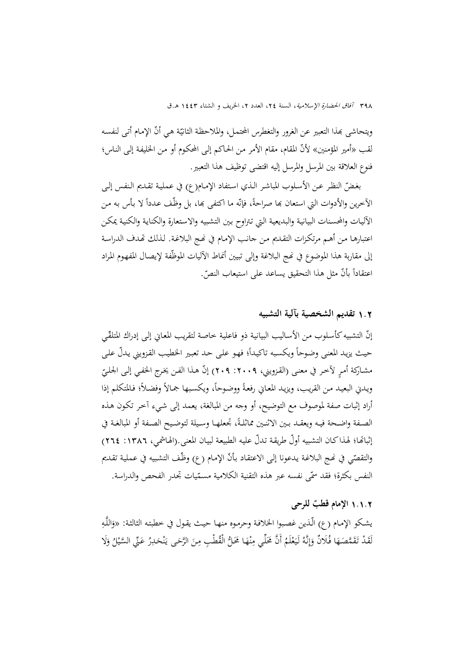٣٩٨ آفاق الحضارة الإسلامية، السنة ٢٤، العدد ٢، الخريف و الشتاء ١٤٤٣ هـ.ق

ويتحاشى بمذا التعبير عن الغرور والتغطرس المحتمل، والملاحظة الثانيّة هي أنّ الإمام أتـى لنفسه ّلأن لقب «أمير المؤمنين» المقام، مقام الأمر مـن الحـاکم إلـی المحکـوم أو مـن الخليفـة إلـی النـاس؛ فنوع العلاقة بين المرسل والمرسل إليه اقتضی توظيف هذا التعبير.

بغضّ النظر عـن الأسـلوب المباشر الـذي استفاد الإمـام(ع) في عمليـة تقـديم الـنفس إلـى الآخرين والأدوات التي استعان بما صراحةً، فإنّه ما اكتفى بما، بل وظّف عدداً لا بأس به من الآليـات والمحسـنات البيانيـة والبديعيـة الـتي تـتراوح بـين التشـبيه والاسـتعارة والکنايـة والکنيـة يمکـن اعتبارهـا مـن أهـم مرتكـزات التقـديم مـن جـانب الإمـام في نحـج البلاغـة. لـذلك تحدف الدراسـة إلى مقاربة هذا الموضوع في نُمج البلاغة وإلى تبيين أنماط الآليات الموظّفة لإيصال المفهوم المراد اعتقاداً بأنّ مثل هذا التحقيق يساعد على استيعاب النصّ.

#### 1**.**2 **تقديم الشخصية بآلية التشبيه**

إنّ التشبيه كأسلوب من الأساليب البيانية ذو فاعلية خاصة لتقريب المعاني إلى إدراك المتلقّـي حيث يزيد المعنى وضوحاً ويكسبه تاكيداً؛ فهو على حد تعبير الخطيب القزويني يدلّ على مشـاركة أمـرٍ لآخـر في معنـى (القـزويني، ٢٠٠٩: ٢٠٩) إنّ هـذا الفـن يخـرج الحفـي إلـى الجـلـيّ<br>. ويدني البعيد من القريب، ويزيد المعاني رفعةً ووضوحاً، ويكسبها جمالاً وفضلاً؛ فالمتكلم إذا أراد إثبات صفة لموصوف مع التوضيح، أو وجه من المبالغة، يعمد إلی شـيء آخـر تکـون هـذه الصـفة واضـحة فيـه ويعقـد بـين الاثنـين مماثلـةً، تجعلهـا وسـيلة لتوضـيح الصـفة أو المبالغـة في إثباتها؛ لهـذاکـان التشبيه أولّ طريقـة تـدلّ عليـه الطبيعـة لبيـان المعنى.(الهـاشمي، ١٣٨٦: ٢٦٤) والتقصّي في نمج البلاغة يدعونا إلى الاعتقاد بأنّ الإمام (ع) وظّف التشبيه في عملية تقديم النفس بكثرة؛ فقد سمّي نفسه عبر هذه التقنية الكلامية مسمّيات تجدر الفحص والدراسة.

# **قطب** 1**.**1**.**2 **الإمام للرحی ٌ**

يشكو الإمام (ع) الّذين غصبوا الخلافة وحرموه منهـا حيث يقول في خطبته الثالثة: «وَاللَّهِ<br>-لَقَدْ تَقَمَّصَهَا فُلَانٌ وَإِنَّهُ لَيَعْلَمُ أَنَّ حََلِّي مِنْهَا حََلُّ الْقُطْبِ مِنَ الرَّحَى يَنْحَدِرُ عَنِّي السَّيْلُ وَلَا ن ِ ٔ. ْ .<br>: اٰ إ َ َ ن يا<br>.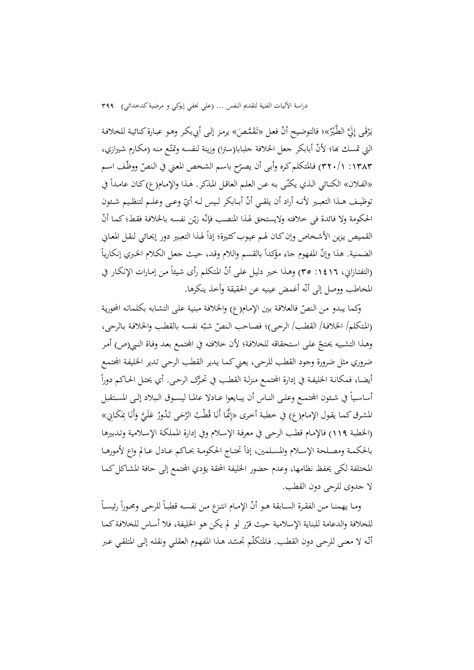يَرْقَى إِلَيَّ الطَّيْرُ»؛ فالتوضيح أنّ فعل «تَقَمَّصَ» يرمز إلى أبيبكر وهو عبارة كنائية للخلافة <u>ّ</u> ب<br>با **ِ** التي تمسك بما؛ لأنّ أبابكر جعل الخلافة جلبابا(سترا) وزينة لنفسه وتمتّع منه (مكارم شيرازي، ١٣٨٣: ٣٢٠/١) فالمتكلم كره وأبى أن يصرّح باسم الشخص المعني في النصّ ووظّف اسم «الفلان» الكنائي الذي يكنّـى به عن العلم العاقل المذكر. هذا والإمام(ع) كـان عامـداً في نوظيـف هــذا التعبـير لأنــه أراد أن يلقــي أنّ أبــابكر لـيس لــه أيّ وعــى وعلــم لتنظـيم شـئون الحكومة ولا فائدة في خلافته ولايستحق لهذا المنصب فإنّه زيّن نفسه بالخلافة فقط؛ كما أنّ القميص يزين الأشخاص وإن كـان لهم عيوب كثيرة؛ إذاً لهـذا التعبير دور إيحـائي لنقـل المعـاني الضمنية. هذا وإنّ المفهوم جاء مؤكداً بالقسم واللام وقد، حيث جعل الكلام الخبري إنكارياً (التفتـازاني، ١٤١٦: ٣٥) وهـذا خير دليل علمي أنّ المتكلم رأى شيئاً مـن إمـارات الإنكـار في المخاطب ووصل إلی أنّه أغمض عينيه عن الحقيقة وأخذ ينکرها.

وكما يبدو من النصّ فالعلاقة بين الإمام(ع) والخلافة مبنية على التشابه بكلماته المحورية (المتكلم/ الخلافـة/ القطـب/ الرحى)؛ فصـاحب النصّ شبّه نفسـه بالقطب والخلافـة بـالرحى، وهـذا التشبيه يحتجّ علمى استحقاقه للخلافـة؛ لأن خلافته في المحتمـع بعـد وفـاة النبي(ص) أمر ضروري مثل ضرورة وجود القطب للرحي، يعني كما يدير القطب الرحي تدير الخليفة المجتمع أيضـا، فمكانـة الخليفـة في إدارة المجتمـع منزلـة القطـب في تحـرّک الرحـی. أي يحتـل الحـاکـم دوراً أساسـياً في شـئون المحتمـع وعلـي النــاس أن يبـايعوا عــادلا عالمــا ليســوق الـبلاد إلـي المسـتقبل المشرق كما يقول الإمام(ع) في خطبة أخرى «إِنَّمَا أَنَا قُطْبُ الرَّحَى تَدُورُ عَلَيَّ وَأَنَا بِمَكَانِي» ِ َ َ (الخطبـة 119) فالإمـام قطـب الرحـی في معرفـة الإسـلام وفي إدارة المملکـة الإسـلامية وتـدبيرها بالحكمـة ومصـلحة الإسـلام والمسلمين، إذاً تحتـاج الحكومـة بحـاكم عـادل عـالم واع لأمورهـا المختلفة لکی يحفظ نظامها، وعدم حضور الخليفة المحقة يؤدي المجتمع إلی حافة المشاکل کما لا جدوی للرحی دون القطب.

 $\overline{a}$ ومـا يهمنـا مـن الفقـرة الســابقة هـو أنّ الإمـام انتـزع مـن نفسـه قطبـاً للرحـى ومحـوراً رئيسـاً للخلافة والدعامة للبناية الإسلامية حيث قرّر لو لم يكن هو الخليفة، فلا أساس للخلافة كما أنّه لا معنى للرحى دون القطب. فـالمتكلّم تجسّد هـذا المفهوم العقلي ونقله إلى المتلقي عـبر ن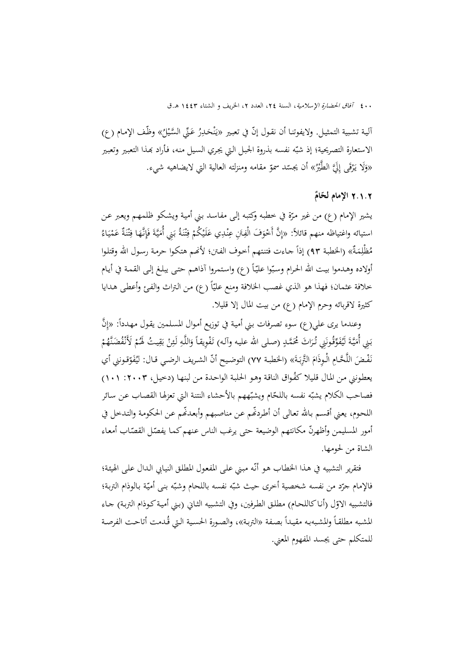ألية تشبية التمثيل. ولايفوتنا أن نقول إنّ في تعبير «يَنْحَـٰـرِرُ عَنِّي السَّـْيلُ» وظّف الإمام (ع) ن ب<br>ا الاستعارة التصريحية؛ إذ شبّه نفسه بذروة الجبل التي يجري السيل منه، فأراد بهذا التعبير وتعبير «وَلَا يَرْقَى إِلَيَّ الطَّيْرُ» أن يجسّد سموّ مقامه ومنزلته العالية التي لايضاهيه شيء.<br>. یہ<br>: **∣** 

## **ٌ** 2**.**1**.**2 **الإمام لح ّام**

يشير الإمام (ع) من غير مرّة في خطبه وکتبه إلى مفاسد بني أمية ويشكو ظلمهـم ويعبر عـن<br>. استيائه واغتياظه منهم قائلاً: «إِنَّ أَحْوَفَ الْفِتَنِ عِنْدِي عَلَيْكُمْ فِتْنَةُ بَنِي أُمَيَّةَ فَإِنَّهَا فِتْنَةٌ عَمْيَاءُ ي ْ ن **ٔ** ت .<br>و َ ي  $\overline{\phantom{a}}$ با<br>ا ن <u>:</u> ت ِ َ ن ِ ِ مُظْلِمَةٌ» (الخطبة ٩٣) إذاً جـاءت فتنتهم أخـوف الفـتن؛ لأنحم هتكـوا حرمـة رسـول الله وقتلـوا أولاده وهـدموا بيت الله الحرام وسبّوا عليّاً (ع) واستمروا آذاهـم حتـى يبلغ إلـى القمـة في أيـام خلافة عثمان؛ فهذا هو الذي غصب الخلافة ومنع عليّاً (ع) من التراث والفئ وأعطى هدايا کثيرة لاقربائه وحرم الإمام (ع) من بيت المال إلا قليلا.

وعندما يرى علي(ع) سوء تصرفات بني أمية في توزيع أموال المسلمين يقول مهدداً: «إِنَّ بَنِي أُمَيَّةَ لَيُفَوِّقُونَنِي تُرَاثَ مُحَمَّدٍ (صلى الله عليه وآلـه) تَفْوِيقاً وَاللَّهِ لَئِنْ بَقِيتُ لَهُمْ لَأَنْفُضَنَّهُمْ .<br>ا ي با<br>ا <u>ة</u> نَفْـضَ اللَّحَّـامِ الْوِذَامَ التَّرِبَـةَ» (الخطبـة ٧٧) التوضـيح أنّ الشـريف الرضـي قـال: ليُفَوّقـونني أي ب ِ يعطونني من المال قليلا كفُواق الناقة وهو الحلبة الواحدة من لبنها (دخيل، ٢٠٠٣: ١٠١) فصاحب الكلام يشبّه نفسه باللحّام ويشبّههم بالأحشاء النتنة التي تعزلها القصاب عن سائر اللحوم، يعني أقسم بالله تعالى أن أطردفّم عن مناصبهم وأبعدفّم عن الحكومة والتدخل في أمور المسليمن وأظهرنّ مكانتهم الوضيعة حتى يرغب الناس عنهم كما يفصّل القصّاب أمعاء الشاة من لحومها.

فتقرير التشبيه في هـذا الخطـاب هو أنّـه مبـني علـى المفعول المطلق النيـابي الـدال علـى الهيئة؛ فالإمام جرّد من نفسه شخصية أخرى حيث شبّه نفسه باللحام وشبّه بنى أميّة بالوذام التربة؛<br>-فالتشبيه الاوّل (أناكاللحـام) مطلـق الطرفين، وفي التشبيه الثـاني (بـني أميـة كـوذام التربـة) جـاء المشبه مطلقـأ والمشبهبه مقيداً بصـفة «التربـة»، والصورة الحسية الـتي قُـدمت أتاحـت الفرصـة للمتکلم حتی يجسد المفهوم المعني.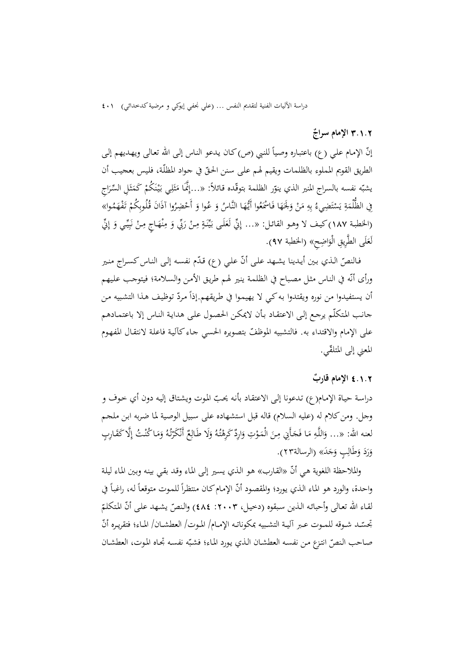### **الإمام سراج ٌ** 3**.**1**.**2

إنّ الإمام علي (ع) باعتباره وصياً للنبي (ص)كان يدعو الناس إلى الله تعالى ويهديهم إلى الطريق القويم المملوء بالظلمات ويقيم لهم على سنن الحقّ في جواد المظلّـة، فليس بعجيب أن يشبّه نفسه بالسراج المنير الذي ينوّر الظلمة بتوقّده قـائلاً: «…إِنَّمَا مَثَلِي بَيْنَكُمْ كَمَثَلِ السِّرَاجِ<br>. شا<br>من ث ا<br>ا **ٔ** ي ث  $\overline{a}$ فِي الظُّلْمَةِ يَسْتَضِيءُ بِهِ مَنْ وَلَحَهَا فَاسْمَعُوا أَيُّهَا النَّاسُ وَ عُوا وَ أَحْضِرُوا آذَانَ قُلُوبِكُمْ تَفْهَمُوا»  $\overline{a}$ ت ا<br>ا ٔ<br>ا َ (الخطبة ١٨٧) كيف لا وهـو القائـل: «... إِنِّي لَعَلَى بَيِّنَةٍ مِنْ رَبِّي وَ مِنْهَاجٍ مِنْ نَبِيِّي وَ إِنِّ ي<br>م بہ<br>: ن ِ<br>ِم ب ن<br>: لَعَلَى الطَّرِيقِ الْوَاضِحِ» (الخطبة ٩٧). َ

فـالنصّ الـذي بـين أيـدينا يشـهـد علـى أنّ علـي (ع) قـدّم نفسـه إلـى النـاس كسـراج منـير ورأی أنّه في النـاس مثـل مصباح في الظلمـة ينير لهـم طريق الأمـن والسـلامة؛ فيتوجب عليهم أن يستفيدوا من نوره ويقتدوا به كي لا يهيموا في طريقهم.إذاً مردّ توظيف هـذا التشبيه مـن جانـب المـتکلّم يرجـع إلـی الاعتقـاد بـأن لايمکـن الحصـول علـی هدايـة النـاس إلا باعتمـادهم على الإمام والاقتداء به. فالتشبيه الموظفّ بتصويره الحسي جـاء كألية فاعلة لانتقـال المفهوم المعني إلی المتلق ّي.

## **قارب** 4**.**1**.**2 **الإمام ٌ**

دراسة حياة الإمام(ع) تدعونا إلى الاعتقاد بأنه يحبّ الموت ويشتاق إليه دون أي خوف و وجل. ومنكلام له (عليه السلام) قاله قبل استشهاده على سـبيل الوصـية لمـا ضـربه ابـن ملجـم لعنه الله: «... وَاللَّهِ مَا فَجَأَنِي مِنَ الْمَوْتِ وَارِدٌ كَرِهْتُهُ وَلَا طَالِعٌ أَنْكَرْتُهُ وَمَا كُنْتُ إِلَّا كَقَارِبٍ  $\overline{\phantom{a}}$ َ م<br>تار ر<br>. َ َ <u>ٔ</u>  $\overline{\phantom{a}}$ ً<br>ا وَرَدَ وَطَالِبٍ وَجَدَ» (الرسالة۲۳). َ

والملاحظة اللغوية هي أنّ «القارب» هو الذي يسير إلى الماء وقد بقي بينه وبين الماء ليلة واحدة، والورد هو الماء الذي يورد؛ والمقصود أنّ الإمام كان منتظراً للموت متوقعاً له، راغباً في لقـاء الله تعـالى وأحبائـه الـذين سبقوه (دخيـل، ٢٠٠٣: ٤٨٤) والنصّ يشـهد علـى أنّ المتكلمّ تجسّــد شــوقه للمــوت عــبر آليــة التشـبيه بمكوناتـه الإمــام/ المـوت/ العطشــان/ المـاء؛ فتقريـره أنّ صاحب النصّ انتزع من نفسه العطشان الذي يورد الماء؛ فشبّه نفسه تجـاه الموت، العطشـان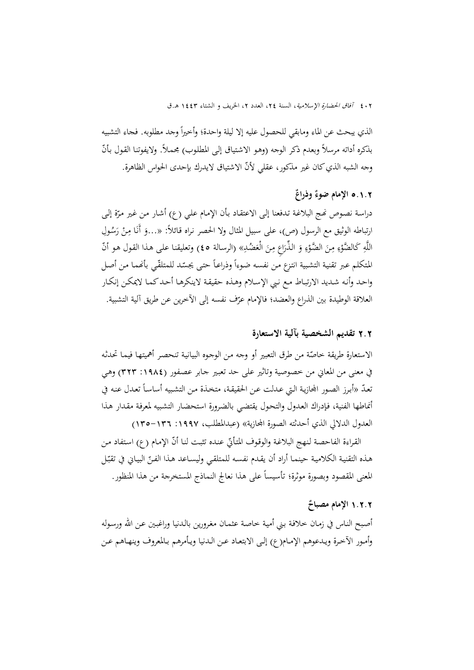الذي يبحث عن الماء ومابقي للحصول عليه إلا ليلة واحدة؛ وأخيراً وجد مطلوبه. فجاء التشبيه بذکره أداته مرسلاً وبعدم ذکر الوجه (وهو الاشتياق إلى المطلوب) مجملاً. ولايفوتنا القول بأنّ وجه الشبه الذي کان غير مذکور، عقلي لأنّ الاشتياق لايدرك بإحدى الحواس الظاهرة.

# 5**.**1**.**2 **ٌ ٌ الإمام ضوء وذراع**

دراسة نصوص نھج البلاغة تدفعنا إلى الاعتقاد بأن الإمام علي (ع) أشار من غير مرّة إلى<br>-ارتباطه الوثيق مع الرسول (ص)، على سبيل المثال ولا الحصر نراه قـائلاً: «…وَ أَنَا مِنْ رَسُولِ<br>ءَ ِ اللَّهِ كَالضَّوْءِ مِنَ الضَّوْءِ وَ الذِّرَاعِ مِنَ الْعَضُدِ» (الرسالة ٤٥) وتعليقنا على هذا القول هو أنّ ْ ْ المتكلم عبر تقنية التشبية انتزع من نفسه ضوءاً وذراعـاً حتى يجسّد للمتلقّـي بأنهما من أصل واحـد وأنـه شـديد الارتبـاط مـع نـبي الإسـلام وهـذه حقيقـة لاينکرهـا أحـدکمـا لايمکـن إنکـار العلاقة الوطيدة بين الذراع والعضد؛ فالإمام عرّف نفسه إلى الآخرين عن طريق آلية التشبية.

### 2**.**2 **تقديم الشخصية بآلية الاستعارة**

الاستعارة طريقة خاصّة من طرق التعبير أو وجه من الوجوه البيانية تنحصر أهميتها فيمـا تحدثه في معنی من المعاني من خصوصية وتاثير علی حد تعبـير جـابر عصـفور (:1984 323) وهـي نعـدّ «أبـرز الصـور المجازية الـتي عـدلت عـن الحقيقـة، متخـذة مـن التشبيه أساسـاً تعـدل عنـه في أنماطها الفنية، فـإدراك العـدول والتحـول يقتضـي بالضـرورة استحضـار التشـبيه لمعرفـة مقـدار هـذا العدول الدلالي الذي أحدثته الصورة المحازية» (عبدالمطلب، ١٩٩٧: ١٣٦–١٣٥)

القراءة الفاحصة لنهج البلاغة والوقوف المتأتيّ عنده تثبت لنا أنّ الإمام (ع) استفاد من هـذه التقنيـة الكلاميـة حينمـا أراد أن يقـدم نفسـه للمتلقـي وليسـاعد هـذا الفـنّ البيـاني في تقبّـل<br>. المعنی المقصود وبصورة موثرة؛ تأسيسا ًعلی هذا نعالج النماذج المستخرجة من هذا المنظور.

### **لإمام مصباح ٌ** 1**.**2**.**2 **ا**

أصـبح النـاس في زمـان خلافـة بـني أميـة خاصـة عثمـان مغـرورين بالـدنيا وراغبـين عـن االله ورسـوله وأمـور الآخـرة ويـدعوهم الإمـام(ع) إلـى الابتعـاد عـن الـدنيا ويـأمرهم بـالمعروف وينهـاهم عـن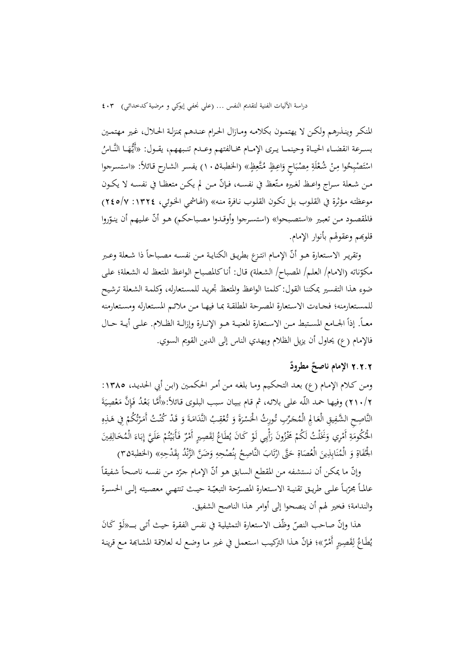المنکـر وينـذرهم ولکـن لا يهتمـون بکلامـه ومـازال الحـرام عنـدهم بمنزلـة الحـلال، غـير مهتمـين بسـرعة انقضــاء الحيــاة وحينمــا يـرى الإمــام مخــالفتهم وعــدم تنـبههم، يقــول: «أَيُّهَــا النَّــاسُ اسْتَصْبِحُوا مِنْ شُعْلَةِ مِصْبَاحٍ وَاعِظٍ مُتَّعِظٍ» (الخطبة١٠٥) يفسر الشارح قائلاً: «استسرجوا ِْ ت مـن شـعلة سـراج واعـظ لغـيره مـتّعظ في نفســه، فـإنّ مـن لم يكـن متعظـا في نفسـه لا يكـون موعظتـه مـؤثرة في القلـوب بـل تکـون القلـوب نـافرة منـه» (الهـاشمي الخـوئي، :1324 245/7) فالمقصود من تعبير «استصبحوا» (استسرجوا وأوقدوا مصباحكم) هو أنّ عليهم أن ينوّروا قلوبهم وعقولهم بأنوار الإمام.

وتقريـر الاسـتعارة هـو أنّ الإمــام انتــزع بطريــق الكنايــة مــن نفســه مصـبـاحـاً ذا شـعلة وعــبر مکوّناته (الامام/ العلـم/ المصباح/ الشعلة) قال: أناكالمصباح الواعظ المتعظ له الشعلة؛ على ضوء هذا التفسير يمکننا القول: کلمتا الواعظ والمتعظ تجريـد للمسـتعارله، وکلمـة الشـعلة ترشـيح للمسـتعارمنه؛ فجـاءت الاسـتعارة المصـرحة المطلقـة بمـا فيهـا مـن ملائـم المسـتعارله ومسـتعارمنه معـاً. إذاً الجـامع المسـتبط مـن الاسـتعارة المعنيــة هــو الإنــارة وإزالــة الظــلام. علــي أيــة حــال فالإمام (ع) يحاول أن يزيل الظلام ويهدي الناس إلی الدين القويم السوي.

## **الإمام ناصح ٌ** 2**.**2**.**2 **ٌ مطرود**

ومـن کـلام الإمـام (ع) بعـد التحكـيم ومـا بلغـه مـن أمـر الحكمـين (ابـن أبي الحديـد، :1385 ٢١٠/٢) وفيها حمد اللّـه على بلائـه، ثم قـام ببيـان سبب البلـوى قـائلاً:«أَمَّا بَعْدُ فَإِنَّ مَعْصِيَةَ .<br>.  $\ddot{\phantom{0}}$ ْ  $\overline{a}$ النَّاصِحِ الشَّفِيقِ الْعَالِمِ الْمُحَرِّبِ تُورِثُ الْحَسْرَةَ وَ تُعْقِبُ النَّدَامَةَ وَ قَدْ كُنْتُ أَمَرْتُكُمْ فِي هَذِهِ<br>مستقىمات المُحْمَّد ِ َ م<br>تار ر<br>ا ِ  $\ddot{a}$ الْحُكُومَةِ أَمْرِي وَنَخَلْتُ لَكُمْ مَخْزُونَ رَأْيِي لَوْ كَانَ يُطَاعُ لِقَصِيرٍ أَمْرٌ فَأَبَيْتُمْ عَلَيَّ إِبَاءَ الْمُخَالِفِينَ<br>م  $\overline{\phantom{a}}$ ِ<br>نا َ ا<br>ا ِأ َ ِ و<br>ت .<br>: ي ب<br>: َ ب ا ِِ  $\ddot{\dot{\epsilon}}$ الْحُفَاةِ وَ الْمُنَابِذِينَ الْعُصَاةِ حَتَّى ارْتَابَ النَّاصِحُ بِنُصْحِهِ وَضَنَّ الزَّنْدُ بِقَدْحِهِ» (الخطبة۳۵) ن ت <u>ّ</u> ن ِ ِم

وإنّ ما يمكن أن نستشفه من المقطع السابق هو أنّ الإمام جرّد من نفسه ناصحاً شفيقاً<br>. عالماً مجرّبـاً علــي طريـق تقنيــة الاسـتعارة المصـرّحة التبعيّـة حيــث تنتهـي معصـيته إلــي الحســرة والندامة؛ فخير لهم أن ينصحوا إلی أوامر هذا الناصح الشفيق.

هذا وإنَّ صاحب النصّ وظّف الاستعارة التمثيلية في نفس الفقرة حيث أتى بــــ«لُوْ كَانَ<br>. يُطَاعُ لِقَصِيرٍ أَمْرٌ»؛ فإنّ هـذا التركيب استعمل في غير مـا وضـع لـه لعلاقـة المشـابَّمة مـع قرينـة اِ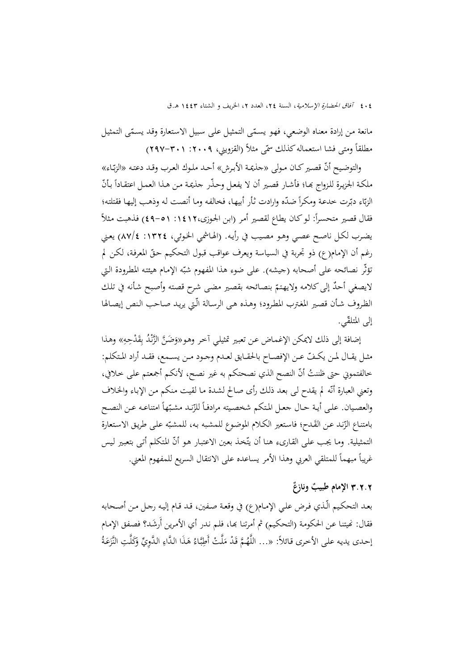مانعة من إرادة معناه الوضعي، فهو يسمّى التمثيل على سبيل الاستعارة وقد يسمّى التمثيل مطلقاً ومتى فشا استعماله كذلك سمّى مثلاً (القزويني، ٢٠٠٩: ٣٠١-٢٩٧)

والتوضيح أنّ قصير كـان مـولى «حذيمـة الأبـرش» أحـد ملـوك العـرب وقـد دعتـه «الزبّـاء» ملكـة الجزيـرة للـزواج بحـا؛ فأشـار قصـير أن لا يفعـل وحـذّر جذيمـة مـن هـذا العمـل اعتقـاداً بـأنّ الزبّاء دبّرت حدعة ومكراً ضدّه وارادت ثأر أبيها، فخالفه وما أنصت له وذهب إليها فقتلته؛<br>" فقال قصير متحسراً: لو كـان يطاع لقصير أمر (ابن الجوزی،١٤١٢: ٥١-٤٩) فذهبت مثلاً يضـرب لکـل ناصـح عصـي وهـو مصـيب في رأيـه. (الهـاشمي الخـوئي، :1324 87/4) يعـني رغم أن الإمام(ع) ذو تجربة في السياسة ويعرف عواقب قبول التحکيم حقّ المعرفة، لکن لم نقِثّر نصائحه على أصحابه (جيشه). على ضوء هذا المفهوم شبّه الإمام هيئته المطرودة التي لايصغي أحدٌ إلى كلامه ولايهتمّ بنصائحه بقصير مضى شرح قصته وأصبح شأنه في تلك<br>-الظـروف شـأن قصـير المغـترب المطـرود؛ وهـذه هـی الرسـالة الّـتي يريـد صـاحب الـنص إيصـالها إلى المتلقّى.

إضافة إلى ذلك لايمكن الإغماض عن تعبير تمثيلي آخر وهو«وَضَنَّ الزَّنْدُ بِقَدْحِهِ» وهذا ِمثـل يقــال لمـن يكـفّ عـن الإفصــاح بالحقـايق لعـدم وجـود مـن يســمع، فقـد أراد المتكلم: خالفتموني حتى ظننتُ أنّ النصح الذي نصحتكم به غير نصح، لأنكم أجمعتم على خلافي، وتعني العبارة أنّه لم يقدح لـى بعد ذلك رأى صـالح لشدة مـا لقيت منكم مـن الإبـاء والخلاف والعصـيان. علـى أيـة حـال جعـل المتكم شخصـيته مرادفـاً للزّنـد مشـبّهاً امتناعـه عـن النصـح بامتناع الزّند عن القَدح؛ فاستعير الكلام الموضوع للمشبه به، للمشبّه على طريق الاستعارة التمثيلية. وما يجب على القارىء هنا أن يتّخذ بعين الاعتبار هو أنّ المتكلم أتى بتعبير ليس غريباً مبهماً للمتلقي العربي وهذا الأمر يساعده على الانتقال السريع للمفهوم المعني.

# **ٌ الإمام ٌ طبيب** 3**.**2**.**2 **ونازع**

بعـد التحکـيم الّـذي فـرض علـي الإمـام(ع) في وقعـة صـفين، قـد قـام إليـه رجـل مـن أصـحابه فقال: نميتنا عن الحكومة (التحكيم) ثم أمرتنا بما، فلم ندر أي الأمرين أُرشَد؟ فصفق الإمام إحدى يديه على الأخرى قائلاً: «... اللَّهُمَّ قَدْ مَلَّتْ أَطِبَّاءُ هَذَا الدَّاءِ الدَّوِيِّ وَكَلَّتِ النَّزَعَةُ َ ب ِ  $\overline{\phantom{a}}$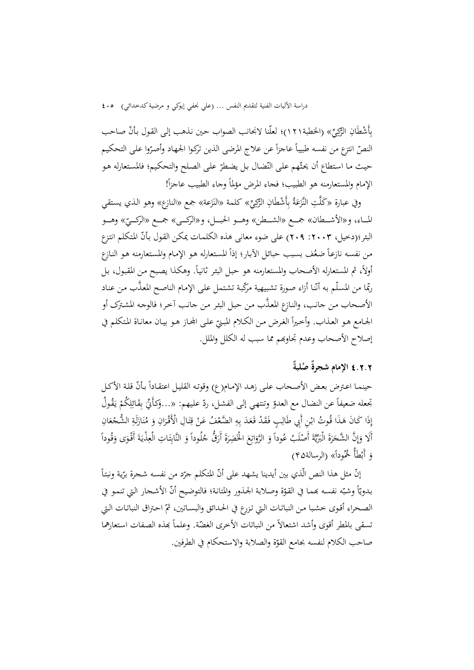بِأَشْطَانِ الرَّكِيِّ» (الخطبة٢١٦)؛ لعلّنا لانجانب الصواب حين نذهب إلى القول بأنّ صاحب النصّ انتزع من نفسه طبيباً عاجزاً عن علاج المرضى الذين تركوا الجهاد وأصرّوا على التحكيم حيث ما استطاع أن يحتّهم على النّضال بل يضطرّ على الصلح والتحكيم؛ فالمستعارله هو الإمام والمستعارمنه هو الطبيب؛ فجاء المرض مؤلماً وجاء الطبيب عاجزاً!

وفي عبارة «كَلَّتِ النَّزَعَةُ بِأَشْطَانِ الرَّكِيِّ» كلمة «النَزَعة» جمع «النازع» وهو الذي يستقي المــاء، و«الأشــطان» جمــع «الشــطن» وهــو الحبـــل، و«الرکـــي» جمــع «الرکـــيّ» وهـــو<br>-البئر؛(دخيل، ٢٠٠٣: ٢٠٩) على ضوء معانى هذه الكلمات يمكن القول بأنّ المتكلم انتزع من نفسه نازعاً ضعُف بسبب حبائل الأبار؛ إذاً المستعارله هو الإمام والمستعارمنه هو النازع أولاً، ثم المستعارله الأصحاب والمستعارمنه هو حبل البئر ثانياً. وهكذا يصبح من المقبول، بل ربّما من المسلّم به أنّنا أزاء صورة تشبيهية مرّكّبة تشتمل على الإمام الناصح المعذَّب من عناد الأصـحاب مـن جانـب، والنـازع َّ المعـذب مـن حبـل البئـر مـن جانـب آخـر؛ فالوجـه المشـترک أو الجـامع هـو العـذاب. وأخيراً الغرض مـن الكـلام المبـنيّ علـى المجـاز هـو بيـان معانـاة المتكلم في<br>م إصلاح الأصحاب وعدم تجاوđم مما سبب له الکلل والملل.

# **ٌ ٌ ُص** 4**.**2**.**2 **الإمام لبة شجرة**

حينمـا اعـترض بعض الأصـحاب علـى زهـد الإمـام(ع) وقوتـه القليـل اعتقـاداً بـأنّ قلـة الأكـل تجعله ضعيفاً عن النضال مع العدوّ وتنتهي إلى الفشل، ردّ عليهم: «…وَكأَنِّيَّ بِقَائِلِكُمْ يَقُولُ<br>. ِِ<br>ئ يا<br>. إِذَا كَانَ هَذَا قُوتُ ابْنِ أَبِي طَالِبٍ فَقَدْ قَعَدَ بِهِ الضَّعْفُ عَنْ قِتَالِ الْأَقْرَانِ وَ مُنَازَلَةِ الشُّجْعَانِ<br>ِ ِ ت ِ َ ن أَلا وَإِنَّ الشَّجَرَةَ الْبَرِّيَّةَ أَصْلَبُ عُوداً وَ الرَّوَاتِعَ الْخَضِرَةَ أَرَقُّ جُلُوداً وَ النَّابِتَاتِ الْعِذْيَةَ أَقْوَى وَقُوداً<br>مَعْنَدَ الْمَجْمَعَةِ الْبَرِّيَّةَ أَصْلَبُ عُوداً وَ الرَّوَاتِعَ الْخَض ب<br>: ِ ت ِ َ َ َ َ ي َ َ  $\hat{a}$ وَ أَبْطَأَ خُمُوداً» (الرسالة۴۵)<br>.

إنّ مثل هذا النص الّذي بين أيدينا يشهد على أنّ المتكلم حرّد من نفسه شحرة برّية ونبتاً<br>. بـدويّاً وشبّه نفسـه بممـا في القوّة وصـلابة الجـذور والمتانـة؛ فالتوضيح أنّ الأشـجار التي تنمـو في الصحراء أقـوي خشبا مـن النباتـات الـتي تـزرع في الحـدائق والبسـاتين، ثمّ احـتراق النباتـات الـتي نسقى بالمطر أقوى وأشد اشتعالاً من النباتات الأخرى الغضّة. وعلماً بمذه الصفات استعارهما صاحب الكلام لنفسه بجامع القوّة والصلابة والاستحكام في الطرفين.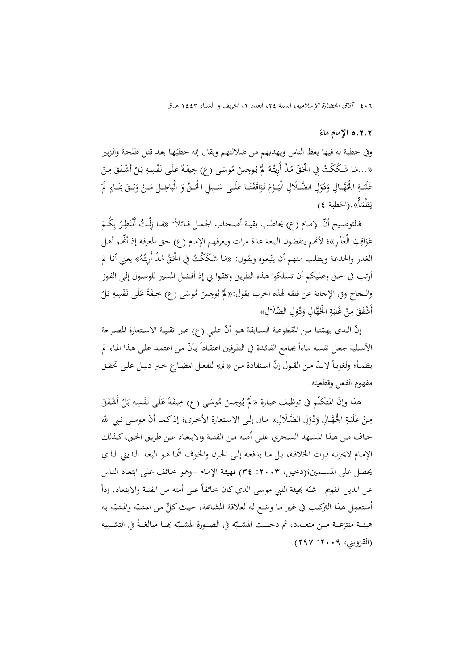#### **الإمام ماء ٌ** 5**.**2**.**2

وفي خطبة له فيها يعظ الناس ويهديهم من ضلالتهم ويقال إنه خطبَها بعد قتل طلحة والزبير<br>. «…مَا شَكَكْتُ فِي الْحَقِّ مُذْ أُرِيتُهُ ۖ أَ يُوجِسْ مُوسَى (ع) خِيفَةً عَلَى نَفْسِهِ بَلْ أَشْفَقَ مِنْ<br>مَا سَمَّدَتَ مِنْ الْحَقِّ مُنْذُ أُرِيتُهُ ۖ أَ يُوجِسْ مُوسَى (ع) خِيفَةً عَلَى نَفْسِهِ بَلْ أَشْفَقَ مِنْ ا<br>ا <u>ہ</u> غَلَبَــةِ الْحُهَّــالِ وَدُوَلِ الضَّـلَالِ الْيَــوْمَ تَوَاقَفْنَــا عَلَــى سَـبِيلِ الْحَــقِّ وَ الْبَاطِــلِ مَــنْ وَثِــقَ بِمَــاءٍ ۖ لَمْ<br>. . . َ َ ،<br>' ة قا َ ِ ْ يَظْمَأْ».(الخطبة ٤)

فالتوضيح أنّ الإمـام (ع) يخاطب بقيـة أصـحاب الجمـل قـائلاً: «مَـا زِلْـتُ أَنْتَظِرُ بِكُـمْ<br>. عَوَاقِبَ الْغَدْرِ»؛ لأَنَّمم ينقضون البيعة عدة مرات ويعرفهم الإمام (ع) حق المعرفة إذ أُنَّمم أهل<br>-َ الغدر والخدعة ويطلب منهم أن يتّبعوه ويقول: «مَا شَكَكْتُ فِي الْحَقِّ مُذْ أُرِيتُهُ» يعني أنا لم  $\overline{\phantom{a}}$ أرتـب في الحـق وعلـيکم أن تسـلکوا هـذه الطريـق وتثقـوا بي إذ أفضـل المسـير للوصـول إلـی الفـوز والنجاح وفي الإجابة عن قلقه لهذه الحرب يقول:« لَمْ يُوجِسْ مُوسَى (ع) خِيفَةً عَلَى نَفْسِهِ بَلْ<br>ِ َ أَشْفَقَ مِنْ غَلَبَةِ الْجُهَّالِ وَدُوَلِ الضَّلَالِ»  $\ddot{\cdot}$ َ

إنّ الـذي يهمّنـا مـن المقطوعــة الســابقة هـو أنّ علـي (ع) عـبر تقنيــة الاسـتعارة المصـرحة الأصلية جعل نفسه ماءاً بجامع الفائدة في الطرفين اعتقاداً بأنّ من اعتمد على هذا الماء لم يظمـأ؛ ولغويـاً لابـدّ مـن القـول إنّ اسـتفادة مـن «لم» للفعـل المضـارع خـير دليـل علـى تحقـق مفهوم الفعل وقطعيته.

هذا وإنّ المتكلّم في توظيف عبـارة « لَمْ يُوجِسْ مُوسَى (ع) خِيفَةً عَلَى نَفْسِهِ بَلْ أَشْفَقَ<br>م َ مِنْ غَلَبَةِ الْحُهَّالِ وَدُوَلِ الضَّلَالِ» مال إلى الاستعارة الأخرى؛ إذ كما أنّ موسى نبي الله َ َ خـاف مـن هـذا المشـهد السـحري علــی أمتـه مـن الفتنــة والابتعـاد عــن طريـق الحـق،کــذلك الإمـام لايحزنـه فـوت الخلافـة، بـل مـا يدفعـه إلـی الحـزن والخـوف ّانمـا هـو البعـد الـديني الـذي يحصل على المسلمين؛(دخيل، ٢٠٠٣: ٣٤) فهيئة الإمام -وهو خائف على ابتعاد الناس  $\overline{a}$ عن الدين القويم– شبّه بميئة النبي موسى الذي كان خائفاً على أمته من الفتنة والابتعاد. إذاً ُستعمِل هذا التركيب في غير ما وضع له لعلاقة المشابحة، حيث كلٌّ من المشبّه والمشبّه به ا هيئــة منتزعــة مــن متعــدد، ثم دخلــت المشــبّه في الصــورة المشــبّه بِمــا مبالغــةً في التشــبيه (القزويني، ٢٠٠٩: ٢٩٧).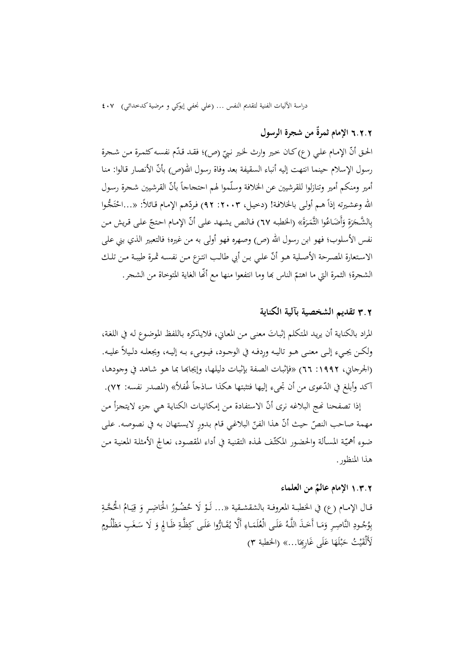## **ٌ من شجرة الرسول**  6**.**2**.**2 **الإمام ثمرة**

الحق أنّ الإمام علي (ع)كان خير وارث لخير نبيّ (ص)؛ فقد قدّم نفسه كثمرة من شجرة<br>. رسول الإسلام حينما انتهت إليه أنباء السقيفة بعد وفاة رسول الله(ص) بأنّ الأنصار قالوا: منا أمير ومنكم أمير وتنازلوا للقرشيين عن الخلافة وسلّموا لهم احتجاجاً بأنّ القرشيين شحرة رسول الله وعشيرته إذاً هـم أولـى بالخلافـة! (دخيـل، ٢٠٠٣: ٩٢) فردّهم الإمـام قـائلاً: «...احْتَـجُـوا ت ْ  $\ddot{\epsilon}$ بِالشَّجَرَةِ وَأَضَاعُوا الثَّمَرَةَ» (الخطبه ٦٧) فالنص يشهد على أنّ الإمام احتجّ على قريش من ر<br>م نفس الأسلوب؛ فهو ابن رسول االله (ص) وصهره فهو أولی به من غيره؛ فالتعبير الذي بني علی الاستعارة المصرحة الأصلية هـو أنّ علي بـن أبي طالـب انتـزع مـن نفسـه ثمـرة طيبـة مـن تلـك الشجرة؛ الثمرة التي ما اهتمّ الناس بما وما انتفعوا منها مع أنَّما الغاية المتوخاة من الشجر.

### 3**.**2 **تقديم الشخصية بآلية الکناية**

المراد بالكناية أن يريد المتكلم إثباتَ معنى من المعاني، فلايذكره باللفظ الموضوع له في اللغة، ولكـن يجـيء إلـى معنـى هـو تاليـه ورِدفـه في الوجـود، فيـومىء بـه إليـه، ويجعلـه دلـيلاً عليـه. (الجرجاني، ١٩٩٢: ٦٦) «فإثبات الصفة بإثبات دليلهـا، وإيجابهـا بما هـو شـاهد في وجودهـا، ً آکد وأبلغ في الدّعوى من أن تجىء إليها فتثبتها هكذا ساذجاً غُفلاً» (المصدر نفسه: ٧٢).<br>-

إذا تصفحنا نحج البلاغه نرى أنّ الاستفادة من إمكانيات الكناية هي جزء لايتجزأ من مهمة صاحب النصّ حيث أنّ هذا الفنّ البلاغي قام بدورٍ لايستهان به في نصوصه. على ضوءِ أهميّـة المسألة والحضور المكثّف لهذه التقنيـة في أداء المقصود، نعـالج الأمثلـة المعنيـة مـن هذا المنظور.

### **الإمام عالم ٌ** 1**.**3**.**2 **من العلماء**

قـال الإمـام (ع) في الخطبــة المعروفــة بالشقشــقية «… لَــؤ لَا حُضُــورُ الحُـاضِــرِ وَ قِيَــامُ الْحُجَّـةِ<br>. ي ِ **∶** بِؤُجُودِ النَّاصِرِ وَمَا أَحَذَ اللَّهُ عَلَى الْعُلَمَاءِ أَلَّا يُقَارُّوا عَلَى كِظَّةِ ظَالِمٍ وَ لَا سَغَبِ مَظْلُومٍ<br>ِ َ لأَلْقَيْتُ حَبْلَهَا عَلَى غَارِبِِمَا…» (الخطبة ٣)<br>-.<br>. ب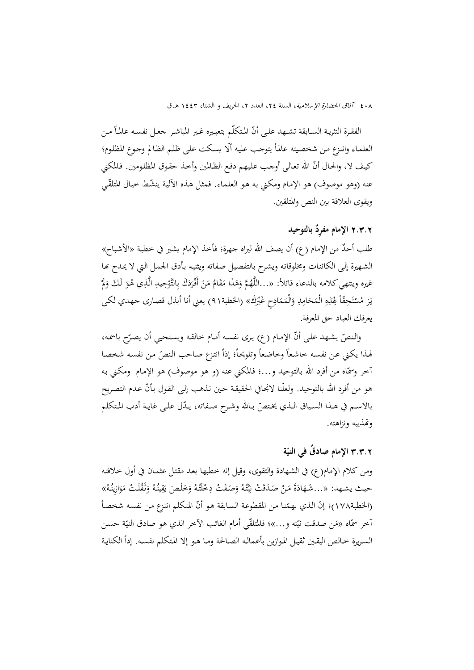الفقرة النثريـة الســابقة تشـهد علـى أنّ المتكلّم بتعبـيره غـير المباشـر جعـل نفسـه عـالمــاً مـن العلمـاء وانتزع مـن شخصيته عالماً يتوجب عليه ألّا يسكت علـى ظلـم الظـالم وجـوع المظلوم؛ كيف لا، والحـال أنّ الله تعالى أوجب عليهم دفع الظـالمين وأخـذ حقوق المظلومين. فـالمكني عنه (وهو موصوف) هو الإمـام ومكني بـه هـو العلمـاء. فمثـل هـذه الآليـة ينشّط خيـال المتلقّي ويقوی العلاقة بين النص والمتلقين.

## 2**.**3**.**2 **الإمام ِ مفرٌد بالتوحيد**

طلب أحدٌ من الإمام (ع) أن يصف الله ليراه جهرة؛ فأخذ الإمام يشير في خطبة «الأشباح» الشـهيرة إلـي الكائنـات ومخلوقاتـه ويشرح بالتفصيل صفاته ويثنيـه بـأدق الجمـل الـتي لا يمدح بهـا غيره وينتهي كلامه بالدعاء قائلاً: «…اللَّهُمَّ وَهَذَا مَقَامُ مَنْ أَفْرَدَكَ بِالتَّوْحِيدِ الَّذِي هُوَ لَكَ وَلَّا<br>. َ ا<br>ا يَرَ مُسْتَحِقّاً لِهَذِهِ الْمَحَامِدِ وَالْمَمَادِحِ غَيْرَكَ» (الخطبة۹۱) يعني أنا أبذل قصارى جهدي لكى َ ِ  $\frac{1}{2}$ <u>َ</u> ت ا<br>ا ب<br>با يعرفك العباد حق المعرفة.

والنصّ يشهد على أنّ الإمام (ع) يرى نفسه أمام خالقه ويستحيي أن يصرّح باسمه، لهذا يكني عن نفسه خاشعاً وخاضعاً وتلويحاً؛ إذاً انتزع صاحب النصّ من نفسه شخصا أخر وسمّاه من أفرد الله بالتوحيد و…؛ فالمکني عنه (و هو موصوف) هو الإمام ۖ ومکني به هو من أفرد الله بالتوحيد. ولعلّنا لانجافي الحقيقة حين نذهب إلى القول بأنّ عدم التصريح بالاسـم في هـذا السـياق الـذي يختصّ بـالله وشـرح صـفاته، يـدّل علـى غايـة أدب المتكلم وēذيبه ونزاهته.

### **الإمام ٌ صادق في الني ّ** 3**.**3**.**2 **ة**

ومن کلام الإمام(ع) في الشهادة والتقوى، وقيل إنه خطبها بعـد مقتـل عثمـان في أول خلافتـه حيث يشـهد: «...شَـهَادَةَ مَنْ صَدَقَتْ نِيَّتُهُ وَصَفَتْ دِخْلَتُهُ وَخَلَصَ يَقِينُهُ وَثَقُلَتْ مَوَازِينُهُ» َ َ یا<br>-َ ي ن<br>با (الخطبة١٧٨)؛ إنّ الذي يهمّنا من المقطوعة السابقة هو أنّ المتكلم انتزع من نفسه شخصاً أخر سمّاه «مَن صدقت نيّته و...»؛ فالمتلقّي أمام الغائب الآخر الذي هو صادق النيّة حسن<br>-السـريرة خـالص اليقـين ثقيـل المـوازين بأعمالـه الصـالحة ومـا هـو إلا المتكلم نفسـه. إذاً الكنايـة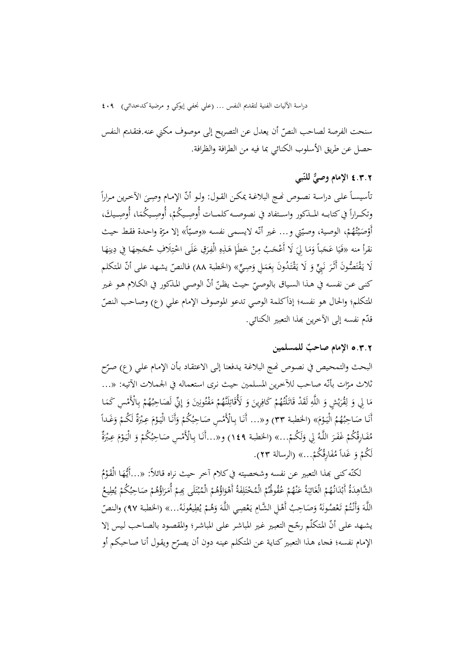سنحت الفرصة لصاحب النصّ أن يعدل عن التصريح إلى موصوف مكني عنه.فتقديم النفس حصل عن طريق الأسلوب الکنائي بما فيه من الطرافة والظرافة.

## **ّبي**  4**.**3**.**2 **الإمام ٌّ وصي للن**

نأسيساً على دراسة نصوص نُحج البلاغـة يمكـن القـول: ولـو أنّ الإمـام وصِـيَ الآخرين مـراراً<br>. وتكـراراً في كتابــه المــذكور واســتفاد في نصوصــه كلمــات أُوصِــيكُمْ، أُوصِــيكُمَا، أُوصِــيكَ،<br>َ <sup> $\mathfrak{c}$ </sup> أَوْصَيْتُهُمْ، الوصية، وصيّتي و… غير أنّه لايسمى نفسه «وصيّاً» إلا مرّة واحدة فقط حيث<br>. ْ ت .<br>:  $\overline{a}$ نقرأ منه «فَيَا عَجَباً وَمَا لِيَ لَا أَعْجَبُ مِنْ خَطَإٍ هَذِهِ الْفِرَقِ عَلَى اخْتِلَافِ مُحَجَهَا فِي دِينِهَا<br>. َ **ٍ** َ ِ لَا يَقْتَصُّونَ أَثَرَ نَبِيٍّ وَ لَا يَقْتَدُونَ بِعَمَلِ وَصِيٍّ» (الخطبة ٨٨) فالنصّ يشهد على أنّ المتكلم با<br>∶ نا<br>أ َ أن الوصـي المـذکور في الکـلام هـو غـير ّ ّ ّ حيـث يظـن کنـی عـن نفسـه في هـذا السـياق بالوصـي المتكلم؛ والحال هو نفسه؛ إذاًكلمة الوصي تدعو الموصوف الإمام علي (ع) وصاحب النصّ قدّم نفسه إلى الآخرين بمذا التعبير الكنائي.

### **الإمام لمين ٌ صاحب** 5**.**3**.**2 **للمس**

البحث والتمحيص في نصوص نمج البلاغة يدفعنا إلى الاعتقاد بأن الإمام علي (ع) صرّح نلاث مرّات بأنّه صاحب للآخرين المسلمين حيث نرى استعماله في الجملات الآتيه: «...<br>. مَا لِي وَ لِقُرَيْشٍ وَ اللَّهِ لَقَدْ قَاتَلْتُهُمْ كَافِرِينَ وَ لَأُقَاتِلَنَّهُمْ مَفْتُونِينَ وَ إِنِّي لَصَاحِبُهُمْ بِالْأَمْسِ كَمَا<br>. ي َ ِ<br>یا نَا ِ  $\overline{\phantom{a}}$ أَنَا صَاحِبُهُمُ الْيَوْمَ» (الخطبة ٣٣) و«... أَنَا بِالْأَمْسِ صَاحِبُكُمْ وَأَنَا الْيَوْمَ عِبْرَةٌ لَكُمْ وَغَداً<br>. <u>ٔ</u> ْ <sup>أ</sup> مُفَارِقُكُمْ غَفَرَ اللَّهُ لِي وَلَكُمْ...» (الخطبة ١٤٩) و«...أَنَا بِالْأَمْسِ صَاحِبُكُمْ وَ الْيَوْمَ عِبْرَةٌ<br>. <u>ٔ</u> <sup>أ</sup> ً ... َ لَ ُكم ْ و َغدا ُ ُكم َ ِارق ف م » (الرسالة <sup>23</sup>). ُ

لكنّه كنى بمذا التعبير عن نفسه وشخصيته في كلام أخر حيث نراه قـائلاً: «…أَيُّهَا الْقَوْمُ<br>. ْ الشَّاهِدَةُ أَبْدَانُهُمْ الْغَائِبَةُ عَنْهُمْ عُقُوطُمْ الْمُخْتَلِفَةُ أَهْوَاؤُهُمْ الْمُبْتَلَى بِهِمْ أُمَرَاؤُهُمْ صَاحِبُكُمْ يُطِيعُ  $\ddot{\cdot}$ ب ِ<br>ئە ن َ ِ **ب** ت ْ ب و<br>يو َ اللَّهَ وَأَنْتُمْ تَعْصُونَهُ وَصَاحِبُ أَهْلِ الشَّامِ يَعْصِي اللَّهَ وَهُمْ يُطِيعُونَهُ...» (الخطبة ٩٧) والنصّ َ ْ يا<br>. يشهد علـى أنّ المتكلّم رجّح التعبير غير المباشر علـى المباشر؛ والمقصود بالصـاحب ليس إلا الإمام نفسه؛ فجاء هذا التعبير كناية عن المتكلم عينه دون أن يصرّح ويقول أنا صاحبكم أو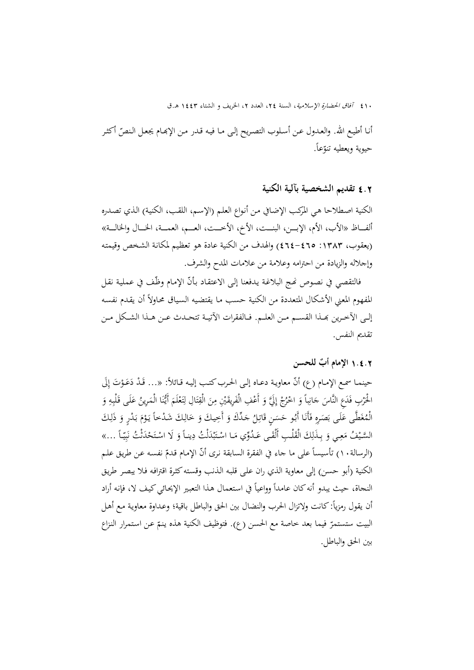أنـا أطيـع الله. والعـدول عـن أسـلوب التصـريح إلـى مـا فيـه قـدر مـن الإبحـام يجعـل الـنصّ أكثـر حيوية ويعطيه تنوّعاً.

4**.**2 **تقديم الشخصية بآلية الکنية** 

الکنية اصـطلاحا هـي المرکـب الإضـافي مـن أنـواع العلـم (الإسـم، اللقـب، الکنيـة) الـذي تصـدره ألفــــاظ «الأب، الأم، الإبــــن، البنــــت، الأخ، الأخـــــت، العــــم، العمــــة، الخــــال والخالـــــة» (يعقوب، ١٣٨٣: ٤٦٤-٤٦٤) والهدف من الكنية عادة هو تعظيم لمكانة الشخص وقيمته وإجلاله والزيادة من احترامه وعلامة من علامات المدح والشرف.

فالتقصي في نصوص نحج البلاغة يدفعنا إلى الاعتقاد بأنّ الإمام وظّف في عملية نقل المفهوم المعني الأشكال المتعددة من الكنية حسب مـا يقتضيه السياق محـاولاً أن يقـدم نفسـه إلـى الآخـرين بحـذا القســم مــن العلــم. فــالفقرات الآتيــة تتحـدث عــن هــذا الشـكل مــن تقديم النفس.

## **أب** 1**.**4**.**2 **للحسن الإمام ٌ**

حينمـا سمـع الإمـام (ع) أنّ معاويـة دعـاه إلـى الحرب كتـب إليـه قـائلاً: «... قَـدْ دَعَـوْتَ إِلَى إ الحُرْبِ فَدَعِ النَّاسَ حَانِباً وَ اخْرُجْ إِلَيَّ وَ أَعْفِ الْفَرِيقَيْنِ مِنَ الْقِتَالِ لِتَعْلَمَ أَيُّنَا الْمَرِينُ عَلَى قَلْبِهِ وَ<br>مُسْتَمَّسِ الْمَرْسَلِينُ عَلَى قَلْبِهِ وَ .<br>.<br>. ٍٍٍٍٍٍٍٍٍٍٍٍٍٍٍٍٍٍٍٍٍٍٍ **ٔ** ت ِ ْ ت ن َّـى َط غ َـى ُ ْم ل ه َ ال َ <sup>ع</sup> ِ ـر َ ب ـا َص َ أَب ٍ ـن ُ <sup>ف</sup> ـو َأَن َس ُ ح ِـل َ ق ِّ ـدَك َات َ ج يـك و َ ِ َ أَخ ـك و َ ِ ً َال ـدخا َ خ َش ْ م َـو ـدٍر يـ ْ َ َ ب ـك و َ ِ َذل  $\ddot{\epsilon}$ ْ السَّيْفُ مَعِي وَ بِذَلِكَ الْقَلْبِ أَلْقَى عَدُوِّي مَا اسْتَبْدَلْتُ دِيناً وَ لَا اسْتَحْدَثْتُ نَبِيّاً ...» ٍ<br>ٍ  $\overline{\phantom{a}}$ ِ ب Ï ب (الرسالة. ١) تأسيساً على ما جاء في الفقرة السابقة نرى أنّ الإمام قدمّ نفسه عن طريق علم الکنية (أبو حسن) إلى معاوية الذي ران على قلبه الذنب وقسته کثرة اقترافه فلا يبصر طريق النجاة، حيث يبدو أنه كان عامداً وواعياً في استعمال هذا التعبير الإيحائي كيف لا، فإنه أراد أن يقول رمزياً: كانت ولاتزال الحرب والنضال بين الحق والباطل باقية؛ وعـداوة معاويـة مـع أهـل البيت ستستمرّ فيما بعد خاصة مع الحسن (ع). فتوظيف الكنية هذه ينـمّ عـن استمرار النزاع بين الحق والباطل.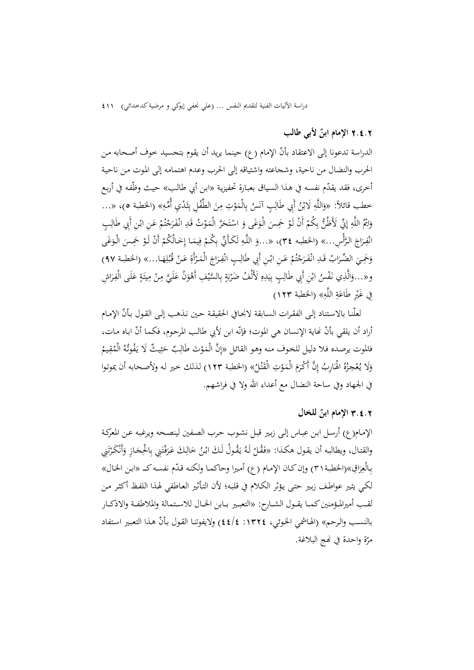### **الإمام ابن ٌ** 2**.**4**.**2 **لأبي طالب**

الدراسة تدعونا إلى الاعتقاد بأنّ الإمام (ع) حينما يريد أن يقوم بتجسيد خوف أصحابه من الحرب والنضال من ناحية، وشجاعته واشتياقه إلی الحرب وعدم اهتمامه إلی المـوت مـن ناحيـة أخرى، فقد يقدّم نفسه في هـذا السياق بعبارة تحفيزية «ابن أبي طالب» حيث وظّفه في أربع حطب قائلاً: «وَاللَّهِ لَابْنُ أَبِي طَالِبٍ آنَسُ بِالْمَوْتِ مِنَ الطِّفْلِ بِثَدْيِ أُمِّهِ» (الخطبة ٥)، «...<br>-،<br>' ِث ِ وَايُّمُ اللَّهِ إِنِّي لَأَظُنُّ بِكُمْ أَنْ لَوْ حَمِسَ الْوَغَى وَ اسْتَحَرَّ الْمَوْتُ قَدِ انْفَرَجْتُمْ عَنِ ابْنِ أَبِي طَالِبٍ<br>. َ ْ و<br>ت ْ  $\zeta$ انْفِرَاجَ الرَّأْسِ...» (الخطبه ٣٤)، «...وَ اللَّهِ لَكَأَنِّي بِكُمْ فِيمَا إِخَالُكُمْ أَنْ لَوْ حَمِسَ الْوَغَى َ  $\ddot{\cdot}$ ِــي َ َحم اب و ُ َ الضــر ِ ِّ َــد ْ ق ُم َج َــر ِ ٍ ــب اب أَِبي ْ <sup>ع</sup> ِ ــن َ انـ ِ ــن ْف َال َ ط َاج ِــر ْف ِ ان أَة َــر ْم ْ ال َ ع ــا... َــن ِه ل ُ قـ » (الخطبــة 97) ُب ت ْ ر<br>. ِ و« ي الَّذ ُ ...<sup>و</sup> ْس ِ ٍب اب أَِبي ْ نـ ِن َف َال ِ ط ه َد ْ ُف ب َلأَل ة ْ ِف َضر السي َّ َ ُن ب ْو َّ أَه َـي ل ْ ع ِـن ٍ م َـة َـى ِيت َ <sup>ع</sup> ِ اش َ <sup>م</sup> <sup>ل</sup> ِـر ْف ال َ ِ ي ؚۣ  $\ddot{a}$ با<br>أ ب ر<br>. َِ فِي غَيْرِ طَاعَةِ اللَّهِ» (الخطبة ١٢٣)  $\ddot{a}$ 

لعلّنـا بالاستناد إلى الفقـرات السـابقة لانجـافي الحقيقـة حـين نـذهب إلـی القـول بـأنّ الإمـام أراد أن يلقي بأنّ نحاية الإنسان هي الموت؛ فإنّه ابن لأبي طالب المرحوم، فكما أنّ اباه مات، فالموت يرصده فلا دليل للخوف منه وهو القائل «إِنَّ الْمَوْتَ طَالِبٌ حَثِيثٌ لَا يَفُوتُهُ الْمُقِيمُ<br>. ث بہ<br>ا وَلَا يُعْجِزُهُ الْهَارِبُ إِنَّ أَكْرَمَ الْمَوْتِ الْقَتْلُ» (الخطبة ١٢٣) لذلك حير له ولأصحابه أن يموتوا َ َ ،<br>' في الجهاد وفي ساحة النضال مع أعداء االله ولا في فراشهم.

## **الإمام ابن ٌ** 3**.**4**.**2 **للخال**

الإمـام(ع) أرسـل ابـن عبـاس إلـی زبـير قبـل نشـوب حـرب الصـفين لينصـحه ويرغبـه عـن المعرکـة والقتـال، ويطالبـه أن يقـول هكـذا: «فَقُـلْ لَـهُ يَقُـولُ لَـكَ ابْـنُ خَالِكَ عَرَفْتَنِي بِالْحِجَازِ وَأَنْكَرْتَنِي ِيا<br>ا .<br>أ َ ت ر<br>أ َ بِالْعِرَاقِ»(الخطبة٢١) وإن كـان الإمـام (ع) أميرا وحاكمـا ولكنـه قدّم نفسـه كــ «ابـن الخـال» َ لکـي يثـير عواطـف زبـير حتـی يـؤثر الکـلام في قلبـه؛ لأن التـأثير العـاطفي لهـذا اللفـظ أکثـر مـن لقــب أميرالمــؤمنينکمــا يقــول الشــارح: «التعبــير بــابن الخــال للاســتمالة والملاطفــة والاذکــار بالنسب والرحم» (الهاشمي الخوئي، ١٣٢٤: ٤٤/٤) ولايفوتنا القول بأنّ هذا التعبير استفاد مرّة واحدة في نُحج البلاغة.<br>.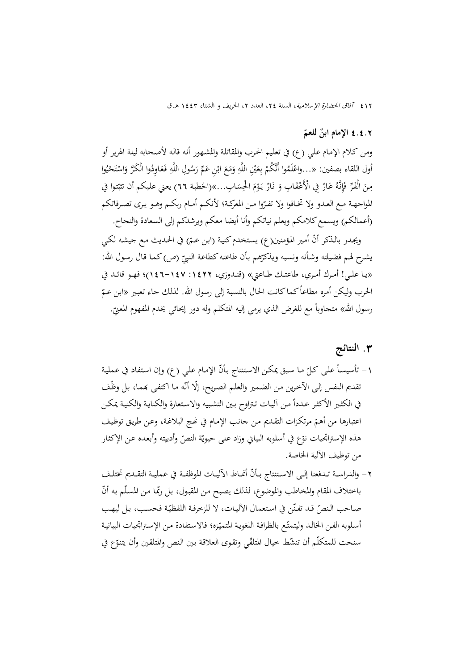# <sup>4</sup>**.**4**.**<sup>2</sup> **ّ الإمام ابن ٌ للعم**

ومن كـلام الإمـام علـي (ع) في تعلـيم الحـرب والمقاتلـة والمشـهور أنـه قالـه لأصـحابه ليلـة الهريـر أو أُول اللقاء بصفين: «...واعْلَمُوا أَنَّكُمْ بِعَيْنِ اللَّهِ وَمَعَ ابْنِ عَمِّ رَسُولِ اللَّهِ فَعَاوِدُوا الْكَرَّ وَاسْتَحْيُوا<br>مُصْلِفَةٍ مَسْلَمَتِينَ: «...واعْلَمُوا أَنَّكُمْ بِعَيْنِ اللَّهِ وَمَعَ ابْنِ عَمِّ رَس ا<br>ا َ ي ْ **ـ** َ مِنَ الْفَرِّ فَإِنَّهُ عَازٌ فِي الْأَعْقَابِ وَ نَازٌ يَوْمَ الْحِسَابِ...»(الخطبة ٦٦) يعني عليكم أن تثبّتوا في ني<br>! <u>ٔ</u> المواجهـة مـع العـدو ولا تخـافوا ولا تفـرّوا مـن المعركـة؛ لأنكـم أمـام ربكـم وهـو يـرى تصـرفاتكم (أعمالکم) ويسمعکلامکم ويعلم نياتکم وأنا أيضا معکم ويرشدکم إلی السعادة والنجاح.

ويجدر بالذكر أنّ أمير المؤمنين(ع) يستخدم كنية (ابن عـمّ) في الحـديث مـع جيشه لكـي يشرح لهم فضيلته وشأنه ونسبه ويذكرّهم بأن طاعته كطاعة النبيّ (ص) كما قال رسول الله:<br>. «يــا علــي! أمــرك أمــري، طاعتــك طــاعتي» (قنــدوزي، :1422 146-147)؛ فهــو قائــد في الحرب وليكن أمره مطاعاً كماكانت الحال بالنسبة إلى رسول الله. لذلك جاء تعبير «ابن عـمّ<br>. رسول الله» متجاوباً مع للغرض الذي يرمي إليه المتكلم وله دور إيحائي يخدم المفهوم المعنيّ.<br>-

### **.**3 **النتائج**

١– تأسيساً على كلّ ما سبق يمكن الاستنتاج بأنّ الإمام علي (ع) وإن استفاد في عملية<br>. نقديم النفس إلى الآخرين من الضمير والعلم الصريح، إلّا أنّه ما اكتفى بمما، بل وظّف في الكثير الأكثر عـددأ مـن آليـات تتراوح بين التشبيه والاستعارة والكنايـة والكنيـة يمكـن اعتبارها من أهمّ مرتكزات التقديم من حانب الإمام في نُحج البلاغة، وعن طريق توظيف<br>-هذه الإستراتجيات نوّع في أسلوبه البياني وزاد على حيويّة النصّ وأدبيته وأبعده عن الإكثار من توظيف الآلية الخاصة.

٢ – والدراسـة تـدفعنا إلـى الاسـتنتاج بـأنّ أنمـاط الآليـات الموظفـة في عمليـة التقـديم تختلـف باختلاف المقام والمخاطب والموضوع، لذلك يصبح من المقبول، بل ربّما من المسلّم به أنّ صـاحب الـنصّ قـد تفنّن في استعمال الأليـات، لا للزخرفـة اللفظيّـة فحسـب، بـل ليهـب أسلوبه الفن الخالد وليتمتّع بالظرافة اللغوية المتميّزه؛ فالاستفادة من الإستراتجيات البيانية سنحت للمتكلّم أن تنشّط خيال المتلقّي وتقوى العلاقة بين النص والمتلقين وأن يتنوّع في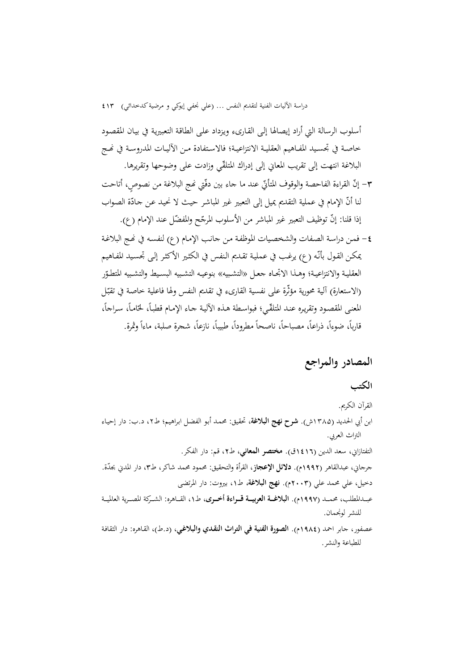أسلوب الرسالة التي أراد إيصالها إلـی القـاریء ويـزداد علـی الطاقـة التعبيريـة في بيـان المقصـود خاصـة في تجسـيد المفـاهيم العقليـة الانتزاعيـة؛ فالاسـتفادة مـن الآليـات المدروسـة في نحـج البلاغة انتهت إلی تقريب المعاني إلی إدراك المتلقّي وزادت علی وضوحها وتقريرها.

- ٣– إنّ القراءة الفاحصة والوقوف المتأتيّ عند ما جاء بين دقّتي نمج البلاغة من نصوصٍ، أتاحت لنا أنّ الإمام في عملية التقديم يميل إلى التعبير غير المباشر حيث لا نحيد عن جادّة الصواب<br>-إذا قلنا: إنّ توظيف التعبير غير المباشر من الأسلوب المرجّح والمفضّل عند الإمام (ع).
- -4 فمـن دراسـة الصـفات والشخصـيات الموظفـة مـن جانـب الإمـام (ع) لنفسـه في Ĕـج البلاغـة يمکـن القـول بأنّه (ع) يرغـب في عـمليـة تقـديم الـنفس في الکثـير الأکثـر إلـی تجسـيد المفـاهيـم العقليـة والانتزاعيـة؛ وهــذا الاتجــاه حعـل «التشـبيه» بنوعيـه التشـبيه البسـيط والتشـبيه المتطـوّر (الاستعارة) آلية محورية مؤثّرة على نفسية القارىء في تقديم النفس ولها فاعلية خاصة في تقبّل المعنى المقصود وتقريره عنـد المتلقّـي؛ فبواسطة هـذه الألية جـاء الإمـام قطبـاً، لحّامـاً، سـراجاً، قارباً، ضوءاً، ذراعاً، مصباحاً، ناصحاً مطروداً، طبيباً، نازعاً، شجرة صلبة، ماءاً وثمرة.

## **المصادر والمراجع**

للنشر لونجمان.

### **الکتب**

القرآن الکريم. ابن أبي الحديد (۱۳۸۵ش). **شرح نهج البلاغة**، تحقيق: محمـد أبـو الفضـل ابـراهيم؛ ط،۲ د.ب: دار إحيـاء التراث العربي. التفتازاني، سعد الدين (1416ق). **مختصر المعاني،** ط،2 قم: دار الفکر. جرجاني، عبدالقاهر (1992م). **دلائل الإعجاز،** القرأة والتحقيق: محمود محمد شاکر، ط،3 دار المدني ّبجدة. دخيل، علي محمد علي (2003م). **نهج البلاغة**، ط،1 بيروت: دار المرتضی عبـــدالمطلب، محمـــد (1997م). **البلاغـــة العربيـــة قـــراءة أخـــری،** ط،1 القـــاهره: الشـــرکة المصـــرية العالميـــة

عصفور، جابر احمد (1984م). **الصورة الفنية في التراث النقـدي والبلاغـي**، (د.ط)، القـاهره: دار الثقافـة للطباعة والنشر.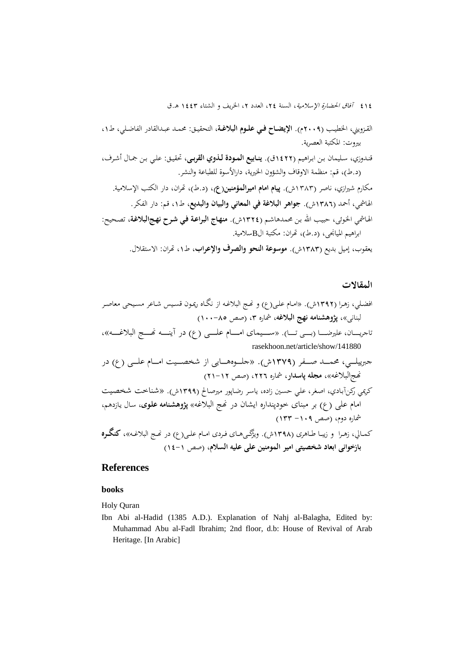القــزويني، الخطيــب (2009م). **الإيضــاح فــي علــوم البلاغــة،** التحقيــق: محمــد عبــدالقادر الفاضــلي، ط،1 بيروت: المکتبة العصرية.

قنـدوزي، سـليمان بـن ابـراهيم (1422ق). **ينـابيع المـودة لـذوي القربـی**، تحقيـق: علـي بـن جمـال أشـرف، (د.ط)، قم: منظمة الاوقاف والشؤون الخيرية، دارالأسوة للطباعة والنشر.

مکارم شيرازي، ناصر (۱۳۸۳ش). **پيام امام اميرالمؤمنين(ع)**، (د.ط)، ēران، دار الکتب الإسلامية. الهاشمي، أحمد (1386ش). **جواهر البلاغة في المعاني والبيان والبديع،** ط،1 قم: دار الفکر. الهـاشمي الخـوئی، حبيـب االله بـن محمدهاشـم (1324ش). **منهـاج البراعـة فـي شـرح نهـجالبلاغـة**، تصـحيح: ابراهيم الميانجی، (د.ط)، ēران: مکتبة الBسلامية.

يعقوب، إميل بديع (1383ش). **موسوعة النحو والصرف والإعراب**، ط،1 ēران: الاستقلال.

#### **المقالات**

افضـلي، زهـرا (1392ش). «امـام علـی(ع) و Ĕـج البلاغـه از نگـاه ريمـون قسـيس شـاعر مسـيحی معاصـر لبنانی»، **پژوهشنامه نهج البلاغه،** شماره ،3 (صص 100-85) تاجريــــــان، عليرضــــــا (بــــــی تــــــا). «ســــــيمای امــــــام علــــــی (ع) در آينــــــه Ĕــــــج البلاغــــــه»، rasekhoon.net/article/show/141880 جبرييلــــي، محمــــد صــــفر (1379ش). «جلــــوههــــايی از شخصــــيت امــــام علــــی (ع) در Ĕجالبلاغه»، **مجله پاسدار،** شماره ،226 (صص 21-12) کريمي رکنآبـادي، اصـغر، علـي حسـين زاده، ياسـر رضـاپور ميرصـالح (1399ش). «شـناخت شخصـيت امام علی (ع) بر مبنای خودپنداره ايشان در Ĕج البلاغه» **پژوهشـنامه علـوی،** سـال يـازدهم، شماره دوم، (صص -109 133) کمــالي، زهــرا و زيبــا طــاهری (1398ش). ويژگــیهــای فــردی امــام علــی(ع) در Ĕــج البلاغــه»، **کنگــره بازخوانی ابعاد شخصيتی امير المومنين علی عليه السلام،** (صص 14-1)

### **References**

#### **books**

Holy Quran

Ibn Abi al-Hadid (1385 A.D.). Explanation of Nahj al-Balagha, Edited by: Muhammad Abu al-Fadl Ibrahim; 2nd floor, d.b: House of Revival of Arab Heritage. [In Arabic]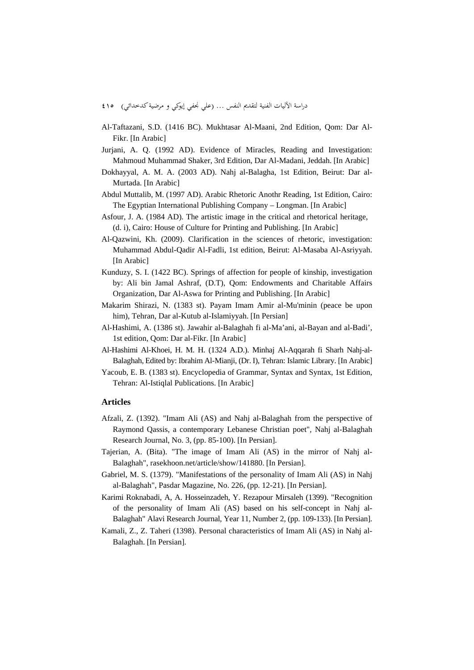- دراسة الآليات الفنية لتقديم النفس ... (علي نجفي إيوکي و مرضيةکدخدائي) 415
- Al-Taftazani, S.D. (1416 BC). Mukhtasar Al-Maani, 2nd Edition, Qom: Dar Al-Fikr. [In Arabic]
- Jurjani, A. Q. (1992 AD). Evidence of Miracles, Reading and Investigation: Mahmoud Muhammad Shaker, 3rd Edition, Dar Al-Madani, Jeddah. [In Arabic]
- Dokhayyal, A. M. A. (2003 AD). Nahj al-Balagha, 1st Edition, Beirut: Dar al-Murtada. [In Arabic]
- Abdul Muttalib, M. (1997 AD). Arabic Rhetoric Anothr Reading, 1st Edition, Cairo: The Egyptian International Publishing Company – Longman. [In Arabic]
- Asfour, J. A. (1984 AD). The artistic image in the critical and rhetorical heritage, (d. i), Cairo: House of Culture for Printing and Publishing. [In Arabic]
- Al-Qazwini, Kh. (2009). Clarification in the sciences of rhetoric, investigation: Muhammad Abdul-Qadir Al-Fadli, 1st edition, Beirut: Al-Masaba Al-Asriyyah. [In Arabic]
- Kunduzy, S. I. (1422 BC). Springs of affection for people of kinship, investigation by: Ali bin Jamal Ashraf, (D.T), Qom: Endowments and Charitable Affairs Organization, Dar Al-Aswa for Printing and Publishing. [In Arabic]
- Makarim Shirazi, N. (1383 st). Payam Imam Amir al-Mu'minin (peace be upon him), Tehran, Dar al-Kutub al-Islamiyyah. [In Persian]
- Al-Hashimi, A. (1386 st). Jawahir al-Balaghah fi al-Ma'ani, al-Bayan and al-Badi', 1st edition, Qom: Dar al-Fikr. [In Arabic]
- Al-Hashimi Al-Khoei, H. M. H. (1324 A.D.). Minhaj Al-Aqqarah fi Sharh Nahj-al-Balaghah, Edited by: Ibrahim Al-Mianji, (Dr. I), Tehran: Islamic Library. [In Arabic]
- Yacoub, E. B. (1383 st). Encyclopedia of Grammar, Syntax and Syntax, 1st Edition, Tehran: Al-Istiqlal Publications. [In Arabic]

#### **Articles**

- Afzali, Z. (1392). "Imam Ali (AS) and Nahj al-Balaghah from the perspective of Raymond Qassis, a contemporary Lebanese Christian poet", Nahj al-Balaghah Research Journal, No. 3, (pp. 85-100). [In Persian].
- Tajerian, A. (Bita). "The image of Imam Ali (AS) in the mirror of Nahj al-Balaghah", rasekhoon.net/article/show/141880. [In Persian].
- Gabriel, M. S. (1379). "Manifestations of the personality of Imam Ali (AS) in Nahj al-Balaghah", Pasdar Magazine, No. 226, (pp. 12-21). [In Persian].
- Karimi Roknabadi, A, A. Hosseinzadeh, Y. Rezapour Mirsaleh (1399). "Recognition of the personality of Imam Ali (AS) based on his self-concept in Nahj al-Balaghah" Alavi Research Journal, Year 11, Number 2, (pp. 109-133). [In Persian].
- Kamali, Z., Z. Taheri (1398). Personal characteristics of Imam Ali (AS) in Nahj al-Balaghah. [In Persian].